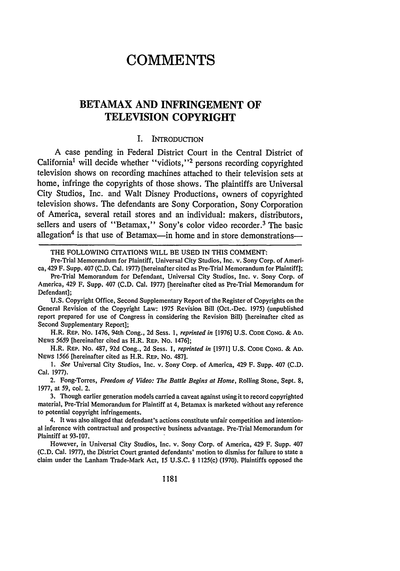# **COMMENTS**

## **BETAMAX AND INFRINGEMENT OF TELEVISION COPYRIGHT**

### I. INTRODUCTION

A case pending in Federal District Court in the Central District of California<sup>1</sup> will decide whether "vidiots,"<sup>2</sup> persons recording copyrighted television shows on recording machines attached to their television sets at home, infringe the copyrights of those shows. The plaintiffs are Universal City Studios, Inc. and Walt Disney Productions, owners of copyrighted television shows. The defendants are Sony Corporation, Sony Corporation of America, several retail stores and an individual: makers, distributors, sellers and users of "Betamax," Sony's color video recorder.<sup>3</sup> The basic allegation<sup>4</sup> is that use of Betamax-in home and in store demonstrations-

THE FOLLOWING CITATIONS WILL BE USED **IN** THIS COMMENT:

Pre-Trial Memorandum for Plaintiff, Universal City Studios, Inc. v. Sony Corp. of America, 429 F. Supp. 407 **(C.D.** Cal. 1977) [hereinafter cited as Pre-Trial Memorandum for Plaintiff];

**U.S.** Copyright Office, Second Supplementary Report of the Register of Copyrights on the General Revision of the Copyright Law: 1975 Revision Bill (Oct.-Dec. 1975) (unpublished report prepared for use of Congress in considering the Revision Bill) [hereinafter cited as Second Supplementary Report];

H.R. REP. No. 1476, 94th Cong., **2d** Sess. *1, reprinted in* [1976] **U.S.** CODE CONG. **& AD.** NEWS 5659 [hereinafter cited as H.R. REP. No. 1476];

H.R. REP. No. **487,** 92d Cong., 2d Sess. 1, *reprinted in* [1971] U.S. CODE **CONG.** & **AD.** NEWS 1566 [hereinafter cited as H.R. REP. No. **487].**

*1. See* Universal City Studios, Inc. v. Sony Corp. of America, 429 F. Supp. 407 **(C.D.** Cal. **1977).**

2. Fong-Torres, *Freedom of Video: The Battle Begins at Home,* Rolling Stone, Sept. **8, 1977,** at *59,* **col.** 2.

**3.** Though earlier generation models carried a caveat against using it to record copyrighted material, Pre-Trial Memorandum for Plaintiff at 4, Betamax is marketed without any reference to potential copyright infringements.

4. It was also alleged that defendant's actions constitute unfair competition and intentional inference with contractual and prospective business advantage. Pre-Trial Memorandum for Plaintiff at **93-107.**

However, in Universal City Studios, Inc. v. Sony Corp. of America, 429 F. Supp. 407 **(C.D.** Cal. **1977),** the District Court granted defendants' motion to dismiss for failure to state a claim under the Lanham Trade-Mark Act, **15 U.S.C.** § 1125(c) **(1970).** Plaintiffs opposed the

Pre-Trial Memorandum for Defendant, Universal City Studios, Inc. v. Sony Corp. of America, 429 F. Supp. 407 **(C.D.** Cal. 1977) [hereinafter cited as Pre-Trial Memorandum for Defendant];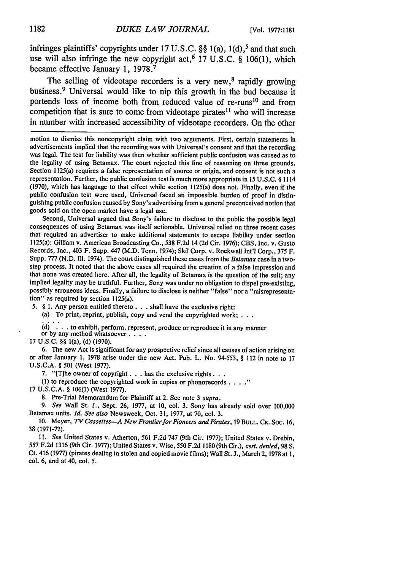infringes plaintiffs' copyrights under **17 U.S.C. §§** 1(a), **1(d),5** and that such use will also infringe the new copyright act, <sup>6</sup>**17 U.S.C. § 106(1),** which became effective January **1, 1978. <sup>7</sup>**

The selling of videotape recorders is a very new, $8$  rapidly growing business. 9 Universal would like to nip this growth in the bud because it portends loss of income both from reduced value of re-runs<sup>10</sup> and from competition that is sure to come from videotape pirates<sup>11</sup> who will increase in number with increased accessibility of videotape recorders. On the other

Second, Universal argued that Sony's failure to disclose to the public the possible legal consequences of using Betamax was itself actionable. Universal relied on three recent cases that required an advertiser to make additional statements to escape liability under section 1125(a): Gilliam v. American Broadcasting Co., 538 F.2d 14 (2d Cir. 1976); CBS, Inc. v. Gusto Records, Inc., 403 F. Supp. 447 (M.D. Tenn. 1974); Skil Corp. v. Rockwell Int'l Corp., 375 F. Supp. 777 (N.D. Ill. 1974). The court distinguished these cases from the *Betamax* case in a twostep process. It noted that the above cases all required the creation of a false impression and that none was created here. After all, the legality of Betamax is the question of the suit; any implied legality may be truthful. Further, Sony was under no obligation to dispel pre-existing, possibly erroneous ideas. Finally, a failure to disclose is neither "false" nor a "misrepresentation" as required by section 1125(a).

5. *§* **1.** Any person entitled thereto. **. .** shall have the exclusive right:

(a) To print, reprint, publish, copy and vend the copyrighted work; **. . .**

d) **.' .** . to exhibit, perform, represent, produce or reproduce it in any manner or by any method whatsoever **....**

17 U.S.C. 99 l(a), (d) (1970).

6. The new Act is significant for any prospective relief since all causes of action arising on or after January 1, 1978 arise under the new Act. Pub. L. No. 94-553, **§** 112 in note to 17 U.S.C.A. **§** 501 (West 1977).

7. "[The owner of copyright **. . .** has the exclusive rights...

**(1)** to reproduce the copyrighted work in copies or phonorecords **.**

17 U.S.C.A. **§** 106(1) (West 1977).

8. Pre-Trial Memorandum for Plaintiff at 2. See note 3 *supra.*

*9. See* Wall St. J., Sept. 26, 1977, at 10, col. 3. Sony has already sold over 100,000 Betamax units. *Id. See also* Newsweek, Oct. 31, 1977, at 70, col. 3.

10. Meyer, *TV Cassettes-A New Frontier for Pioneers and Pirates,* **19 BULL.** CR. Soc. **16,** 38 (1971-72).

*11. See* United States v. Atherton, 561 F.2d 747 (9th Cir. 1977); United States v. Drebin, **557 F.2d** 1316 (9th Cir. 1977); United States v. Wise, 550 F.2d 1180 (9th Cir.), *cert. denied,* 98 **S.** Ct. 416 (1977) (pirates dealing in stolen and copied movie films); Wall St. J., March 2, 1978 at 1, col. 6, and at 40, col. 5.

motion to dismiss this noncopyright claim with two arguments. First, certain statements in advertisements implied that the recording was with Universal's consent and that the recording was legal. The test for liability was then whether sufficient public confusion was caused as to the legality of using Betamax. The court rejected this line of reasoning on three grounds. Section 1125(a) requires a false representation of source or origin, and consent is not such a representation. Further, the public confusion test is much more appropriate in 15 U.S.C. **§** <sup>1114</sup> (1970), which has language to that effect while section 1125(a) does not. Finally, even if the public confusion test were used, Universal faced an impossible burden of proof in distinguishing public confusion caused by Sony's advertising from a general preconceived notion that goods sold on the open market have a legal use.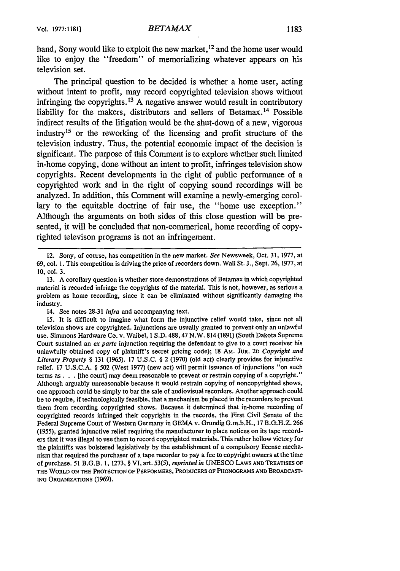hand, Sony would like to exploit the new market, <sup>12</sup> and the home user would like to enjoy the "freedom" of memorializing whatever appears on his television set.

The principal question to be decided is whether a home user, acting without intent to profit, may record copyrighted television shows without infringing the copyrights.13 **A** negative answer would result in contributory liability for the makers, distributors and sellers of Betamax. 14 Possible indirect results of the litigation would be the shut-down of a new, vigorous industry<sup>15</sup> or the reworking of the licensing and profit structure of the television industry. Thus, the potential economic impact of the decision is significant. The purpose of this Comment is to explore whether such limited in-home copying, done without an intent to profit, infringes television show copyrights. Recent developments in the right of public performance of a copyrighted work and in the right of copying sound recordings will be analyzed. In addition, this Comment will examine a newly-emerging corollary to the equitable doctrine of fair use, the "home use exception." Although the arguments on both sides of this close question will be presented, it will be concluded that non-commerical, home recording of copyrighted televison programs is not an infringement.

<sup>12.</sup> Sony, of course, has competition in the new market. *See* Newsweek, Oct. 31, 1977, at 69, col. 1. This competition is driving the price of recorders down. Wall St. J., Sept. 26, 1977, at 10, col. 3.

<sup>13.</sup> A corollary question is whether store demonstrations of Betamax in which copyrighted material is recorded infringe the copyrights of the material. This is not, however, as serious a problem as home recording, since it can be eliminated without significantly damaging the industry.

<sup>14.</sup> See notes 28-31 *infra* and accompanying text.

<sup>15.</sup> It is difficult to imagine what form the injunctive relief would take, since not all television shows are copyrighted. Injunctions are usually granted to prevent only an unlawful use. Simmons Hardware Co. v. Waibel, I S.D. 488,47 N.W. 814 (1891) (South Dakota Supreme Court sustained an *ex parte* injunction requiring the defendant to give to a court receiver his unlawfully obtained copy of plaintiff's secret pricing code); 18 AM. **JUR.** 2D *Copyright and Literary Property §* 131 (1965). 17 U.S.C. § 2 (1970) (old act) clearly provides for injunctive relief. 17 U.S.C.A. § 502 (West 1977) (new act) will permit issuance of injunctions "on such terms as **. .** . [the court] may deem reasonable to prevent or restrain copying of a copyright." Although arguably unreasonable because it would restrain copying of noncopyrighted shows, one approach could be simply to bar the sale of audiovisual recorders. Another approach could be to require, if technologically feasible, that a mechanism be placed in the recorders to prevent them from recording copyrighted shows. Because it determined that in-home recording of copyrighted records infringed their copyrights in the records, the First Civil Senate of the Federal Supreme Court of Western Germany in GEMA v. Grundig G.m.b.H., 17 B.G.H.Z. 266 (1955), granted injunctive relief requiring the manufacturer to place notices on its tape recorders that it was illegal to use them to record copyrighted materials. This rather hollow victory for the plaintiffs was bolstered legislatively by the establishment of a compulsory license mechanism that required the purchaser of a tape recorder to pay a fee to copyright owners at the time of purchase. 51 B.G.B. 1, 1273, § VI, art. 53(5), *reprinted in* UNESCO LAWS **AND TREATISES OF THE WORLD ON THE PROTECTION OF PERFORMERS,** PRODUCERS **OF PHONOGRAMS AND BROADCAST-ING** ORGANIZATIONS (1969).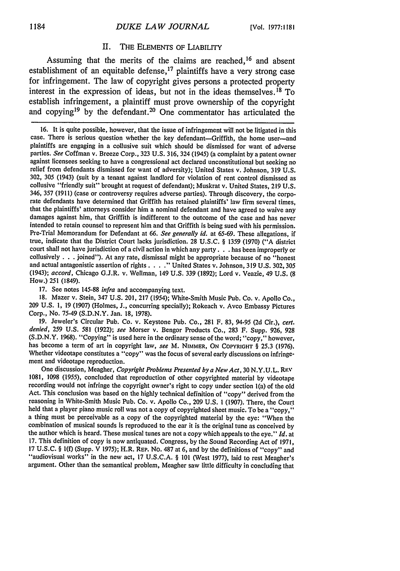### II. THE ELEMENTS OF LIABILITY

Assuming that the merits of the claims are reached,<sup>16</sup> and absent establishment of an equitable defense,  $17$  plaintiffs have a very strong case for infringement. The law of copyright gives persons a protected property interest in the expression of ideas, but not in the ideas themselves. 18 To establish infringement, a plaintiff must prove ownership of the copyright and copying19 **by** the defendant. 20 One commentator has articulated the

**17.** See notes **145-88** *infra* and accompanying text.

**18.** Mazer v. Stein, 347 **U.S.** 201, **217** (1954); White-Smith Music Pub. Co. v. Apollo Co., **209 U.S. 1, 19 (1907)** (Holmes, **J.,** concurring specially); Rokeach v. Avco Embassy Pictures Corp., No. **75-49 (S.D.N.Y.** Jan. **18, 1978).**

**19.** Jeweler's Circular Pub. Co. v. Keystone Pub. Co., **281** F. **83,** 94-95 **(2d** Cir.), *cert. denied,* **259 U.S. 581 (1922);** *see* Morser v. Bengor Products Co., **283** F. Supp. **926, 928 (S.D.N.Y. 1968).** "Copying" is used here in the ordinary sense of the word; "copy," however, has become a term of art in copyright law, *see* M. NIMMER, **ON COPYRIGHT** § **25.3 (1976).** Whether videotape constitutes a "copy" was the focus of several early discussions on infringement and videotape reproduction.

One discussion, Meagher, *Copyright Problems Presented by a New Act,* **30 N.Y.U.L.** Rl-V **1081, 1098 (1955),** concluded that reproduction of other copyrighted material **by** videotape recording would not infringe the copyright owner's right to copy under section l(a) of the old Act. This conclusion was based on the **highly** technical definition of "copy" derived from the reasoning in White-Smith Music Pub. Co. v. Apollo Co., **209 U.S. 1 (1907).** There, the Court held that a player piano music roll was not a copy of copyrighted sheet music. To be a "copy," a thing must be perceivable as a copy of the copyrighted material **by** the eye: "When the combination of musical sounds is reproduced to the ear it is the original tune as conceived **by** the author which is heard. These musical tunes are not a copy which appeals to the eye." *Id.* at **17.** This definition of copy is now antiquated. Congress, **by** the Sound Recording Act of **1971,** <sup>17</sup>**U.S.C.** § **1(f)** (Supp. V **1975);** H.R. **REP.** No. **487** at **6,** and **by** the definitions of "copy" and "audiovisual works" in the new act, **17 U.S.C.A.** § **101** (West **1977),** laid to rest Meagher's argument. Other than the semantical problem, Meagher saw little difficulty in concluding that

<sup>16.</sup> It is quite possible, however, that the issue of infringement will not be litigated in this case. There is serious question whether the key defendant-Griffith, the home user-and plaintiffs are engaging in a collusive suit which should be dismissed for want of adverse parties. *See* Coffman v. Breeze Corp., 323 U.S. 316, 324 (1945) (a complaint by a patent owner against licensees seeking to have a congressional act declared unconstitutional but seeking no relief from defendants dismissed for want of adversity); United States v. Johnson, 319 U.S. 302, 305 (1943) (suit by a tenant against landlord for violation of rent control dismissed as collusive "friendly suit" brought at request of defendant); Muskrat v. United States, 219 U.S. 346, 357 (1911) (case or controversy requires adverse parties). Through discovery, the corporate defendants have determined that Griffith has retained plaintiffs' law firm several times, that the plaintiffs' attorneys consider him a nominal defendant and have agreed to waive any damages against him, that Griffith is indifferent to the outcome of the case and has never intended to retain counsel to represent him and that Griffith is being sued with his permission. Pre-Trial Memorandum for Defendant at 66. *See generally id.* at 65-69. These allegations, if true, indicate that the District Court lacks jurisdiction. 28 U.S.C. § 1359 (1970) ("A district court shall not have jurisdiction of a civil action in which any party. **. .** has been improperly or collusively **. . .** joined"). At any rate, dismissal might be appropriate because of no "honest and actual antagonistic assertion of rights **....** United States v. Johnson, 319 U.S. 302, 305 (1943); *accord,* Chicago G.J.R. v. Wellman, 149 U.S. 339 (1892); Lord v. Veazie, 49 U.S. (8 How.) **251** (1849).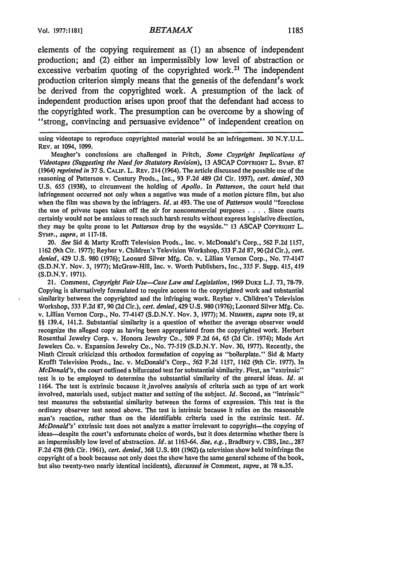elements of the copying requirement as **(1)** an absence of independent production; and (2) either an impermissibly low level of abstraction or excessive verbatim quoting of the copyrighted work.<sup>21</sup> The independent production criterion simply means that the genesis of the defendant's work be derived from the copyrighted work. **A** presumption of the lack of independent production arises upon proof that the defendant had access to the copyrighted work. The presumption can be overcome **by** a showing of "strong, convincing and persuasive evidence" of independent creation on

using videotape to reproduce copyrighted material would be an infringement. 30 N.Y.U.L. REv. at 1094, 1099.

Meagher's conclusions are challenged in Fritch, *Some Coypright Implications of Videotapes (Suggesting the Need for Statutory Revision),* **13 ASCAP** COPYRIGHT L. SYMP. **<sup>87</sup>** (1964) *reprinted in* 37 S. **CALIF.** L. REv. 214 (1964). The article discussed the possible use of the reasoning of Patterson v. Century Prods., Inc., 93 F.2d 489 (2d Cir. 1937), *cert. denied,* 303 U.S. 655 (1938), to circumvent the holding of *Apollo.* In *Patterson,* the court held that infringement occurred not only when a negative was made of a motion picture film, but also when the film was shown by the infringers. *Id.* at 493. The use of *Patterson* would "foreclose the use of private tapes taken off the air for noncommercial purposes . **. .** . Since courts certainly would not be anxious to reach such harsh results without express legislative direction, they may be quite prone to let *Patterson* drop by the wayside." 13 ASCAP COPYRIGHT L. SYMP., *supra,* at 117-18.

*20. See* Sid & Marty Krofft Television Prods., Inc. v. McDonald's Corp., 562 F.2d 1157, 1162 (9th Cir. 1977); Reyher v. Children's Television Workshop, 533 F.2d 87,90 (2d Cir.), *cert. denied,* 429 U.S. 980 (1976); Leonard Silver Mfg. Co. v. Lillian Vernon Corp., No. 77-4147 (S.D.N.Y. Nov. 3, 1977); McGraw-Hill, Inc. v. Worth Publishers, Inc., 335 F. Supp. 415,419 **(S.D.N.Y.** 1971).

21. Comment, *Copyright Fair Use-Case Law and Legislation,* 1969 DUKE L.J. 73, 78-79. Copying is alternatively formulated to require access to the copyrighted work and substantial similarity between the copyrighted and the infringing work. Reyher v. Children's Television Workshop, 533 F.2d 87, 90 (2d Cir.), *cert. denied,* 429 U.S. 980 (1976); Leonard Silver Mfg. Co. v. Lillian Vernon Corp., No. 77-4147 (S.D.N.Y. Nov. 3, 1977); M. NIMMER, *supra* note 19, at §§ 139.4, 141.2. Substantial similarity is a question of whether the average observer would recognize the alleged copy as having been appropriated from the copyrighted work. Herbert Rosenthal Jewelry Corp. v. Honora Jewelry Co., 509 F.2d 64, **65 (2d** Cir. 1974); Mode Art Jewelers Co. v. Expansion Jewelry Co., No. 77-519 (S.D.N.Y. Nov. 30, 1977). Recently, the Ninth Circuit criticized this orthodox formulation of copying as "boilerplate." Sid & Marty Krofft Television Prods., Inc. v. McDonald's Corp., 562 F.2d 1157, 1162 (9th Cir. 1977). In *McDonald's,* the court outlined a bifurcated test for substantial similarity. First, an "extrinsic" test is to be employed to determine the substantial similarity of the general ideas. *Id.* at 1164. The test is extrinsic because it,involves analysis of criteria such as type of art work involved, materials used, subject matter and setting of the subject. *Id.* Second, an "intrinsic" test measures the substantial similarity between the forms of expression. This test is the ordinary observer test noted above. The test is intrinsic because it relies on the reasonable man's reaction, rather than on the identifiable criteria used in the extrinsic test. *Id. McDonald's'* extrinsic test does not analyze a matter irrelevant to copyright-the copying of ideas-despite the court's unfortunate choice of words, but it does determine whether there is an impermissibly low level of abstraction. *Id.* at 1163-64. *See, e.g.,* Bradbury v. **CBS,** Inc., 287 F.2d 478 (9th Cir. 1961), *cert. denied,* 368 **U.S. 801** (1962) (a television show held toinfringe the copyright of a book because not only does the show have the same general scheme of the book, but also twenty-two nearly identical incidents), *discussed in* Comment, *supra,* at 78 n.35.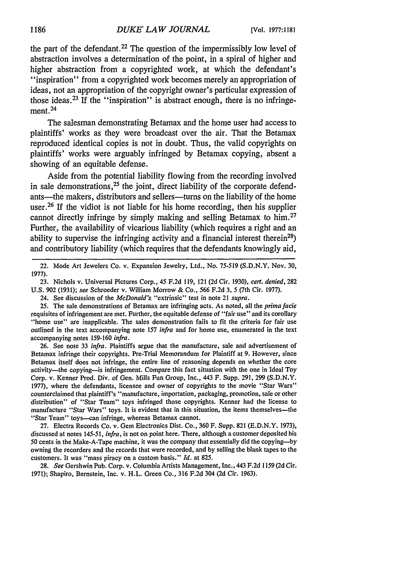the part of the defendant.<sup>22</sup> The question of the impermissibly low level of abstraction involves a determination of the point, in a spiral of higher and higher abstraction from a copyrighted work, at which the defendant's **"inspiration"** from a copyrighted work becomes merely an appropriation of ideas, not an appropriation of the copyright owner's particular expression of those ideas.23 If the "inspiration" is abstract enough, there is no infringement.<sup>24</sup>

The salesman demonstrating Betamax and the home user had access to plaintiffs' works as they were broadcast over the air. That the Betamax reproduced identical copies is not in doubt. Thus, the valid copyrights on plaintiffs' works were arguably infringed **by** Betamax copying, absent a showing of an equitable defense.

Aside from the potential liability flowing from the recording involved in sale demonstrations,  $25$  the joint, direct liability of the corporate defendants—the makers, distributors and sellers—turns on the liability of the home user.<sup>26</sup> If the vidiot is not liable for his home recording, then his supplier cannot directly infringe **by** simply making and selling Betamax to him. <sup>27</sup> Further, the availability of vicarious liability (which requires a right and an ability to supervise the infringing activity and a financial interest therein<sup>28</sup>) and contributory liability (which requires that the defendants knowingly aid,

22. Mode Art Jewelers Co. v. Expansion Jewelry, Ltd., No. 75-519 (S.D.N.Y. Nov. 30, 1977).

23. Nichols v. Universal Pictures Corp., 45 F.2d 119, 121 (2d Cir. 1930), *cert. denied,* 282 U.S. 902 (1931); *see* Schroeder v. William Morrow & Co., 566 F.2d 3, 5 (7th Cir. 1977).

24. See discussion of the *McDonald's.* "extrinsic" test in note 21 *supra.*

*25.* The sale demonstrations of Betamax are infringing acts. As noted, all the *prima facie* requisites of infringement are met. Further, the equitable defense of "fair use" and its corollary "home use" are inapplicable. The sales demonstration fails to fit the criteria for fair use outlined in the text accompanying note 157 *infra* and for home use, enumerated in the text accompanying notes 159-160 *infra.*

26. See note 33 *infra.* Plaintiffs argue that the manufacture, sale and advertisement of Betamax infringe their copyrights. Pre-Trial Memorandum for Plaintiff at 9. However, since Betamax itself does not infringe, the entire line of reasoning depends on whether the core activity-the copying-is infringement. Compare this fact situation with the one in Ideal Toy Corp. v. Kenner Prod. Div. of Gen. Mills Fun Group, Inc., 443 F. Supp. 291, 299 (S.D.N.Y. 1977), where the defendants, licensee and owner of copyrights to the movie "Star Wars" counterclaimed that plaintiff's "manufacture, importation, packaging, promotion, sale or other distribution" of "Star Team" toys infringed those copyrights. Kenner had the license to manufacture "Star Wars" toys. It is evident that in this situation, the items themselves-the "Star Team" toys-can infringe, whereas Betamax cannot.

27. Electra Records Co. v. Gem Electronics Dist. Co., 360 F. Supp. 821 (E.D.N.Y. 1973), discussed at notes 145-51, *infra,* is not on point here. There, although a customer deposited his 50 cents in the Make-A-Tape machine, it was the company that essentially did the copying-by owning the recorders and the records that were recorded, and by selling the blank tapes to the customers. It was "mass piracy on a custom basis." *Id.* at 825.

**28.** *See* Gershwin Pub. Corp. v. Columbia Artists Management, Inc., 443 F.2d 1159 (2d Cir. 1971); Shapiro, Bernstein, Inc. v. H.L. Green Co., 316 F.2d 304 (2d Cir. 1963).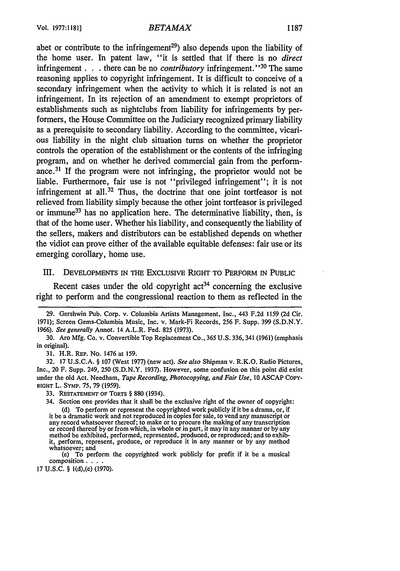abet or contribute to the infringement<sup>29</sup>) also depends upon the liability of the home user. In patent law, "it is settled that if there is no *direct* infringement. **. .** there can be no *contributory* infringement." 30 The same reasoning applies to copyright infringement. It is difficult to conceive of a secondary infringement when the activity to which it is related is not an infringement. In its rejection of an amendment to exempt proprietors of establishments such as nightclubs from liability for infringements by performers, the House Committee on the Judiciary recognized primary liability as a prerequisite to secondary liability. According to the committee, vicarious liability in the night club situation turns on whether the proprietor controls the operation of the establishment or the contents of the infringing program, and on whether he derived commercial gain from the performance.31 If the program were not infringing, the proprietor would not be liable. Furthermore, fair use is not "privileged infringement"; it is not infringement at all.<sup>32</sup> Thus, the doctrine that one joint tortfeasor is not relieved from liability simply because the other joint tortfeasor is privileged or immune<sup>33</sup> has no application here. The determinative liability, then, is that of the home user. Whether his liability, and consequently the liability of the sellers, makers and distributors can be established depends on whether the vidiot can prove either of the available equitable defenses: fair use or its emerging corollary, home use.

### III. DEVELOPMENTS IN THE EXCLUSIVE RIGHT TO PERFORM IN PUBLIC

Recent cases under the old copyright  $act<sup>34</sup>$  concerning the exclusive right to perform and the congressional reaction to them as reflected in the

31. H.R. REP. No. 1476 at 159.

32. 17 U.S.C.A. § 107 (West 1977) (new act). *See also* Shipman v. R.K.O. Radio Pictures, Inc., 20 F. Supp. 249, 250 (S.D.N.Y. 1937). However, some confusion on this point did exist under the old Act. Needham, *Tape Recording, Photocopying, and Fair Use,* 10 ASCAP CoPY-**RIGHT** L. SyMP. 75, 79 (1959).

33. RESTATEMENT OF TORTS § 880 (1934).

(e) To perform the copyrighted work publicly for profit if it be a musical composition . **. ..**

17 **U.S.C.** § 1(d),(e) (1970).

<sup>29.</sup> Gershwin Pub. Corp. v. Columbia Artists Management, Inc., 443 F.2d 1159 (2d Cir. 1971); Screen Gems-Columbia Music, Inc. v. Mark-Fi Records, 256 F. Supp. 399 (S.D.N.Y. 1966). *See generally* Annot. 14 A.L.R. Fed. 825 (1973).

<sup>30.</sup> Aro Mfg. Co. v. Convertible Top Replacement Co., 365 U.S. 336, 341 (1961) (emphasis in original).

<sup>34.</sup> Section one provides that it shall be the exclusive right of the owner of copyright: (d) To perform or represent the copyrighted work publicly if it be a drama, or, if it be a dramatic work and not reproduced in copies for sale, to vend any manuscript or<br>any record whatsoever thereof; to make or to procure the making of any transcription or record thereof by or from which, in whole or in part, it may in any manner or by any method be exhibited, performed, represented, produced, or reproduced; and to exhibit, perform, represent, produce, or reproduce it in any manner or by any method whatsoever; and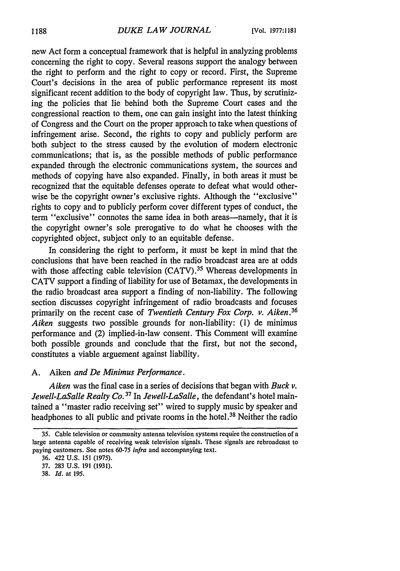new Act form a conceptual framework that is helpful in analyzing problems concerning the right to copy. Several reasons support the analogy between the right to perform and the right to copy or record. First, the Supreme Court's decisions in the area of public performance represent its most significant recent addition to the body of copyright law. Thus, by scrutinizing the policies that lie behind both the Supreme Court cases and the congressional reaction to them, one can gain insight into the latest thinking of Congress and the Court on the proper approach to take when questions of infringement arise. Second, the rights to copy and publicly perform are both subject to the stress caused by the evolution of modern electronic communications; that is, as the possible methods of public performance expanded through the electronic communications system, the sources and methods of copying have also expanded. Finally, in both areas it must be recognized that the equitable defenses operate to defeat what would otherwise be the copyright owner's exclusive rights. Although the "exclusive" rights to copy and to publicly perform cover different types of conduct, the term "exclusive" connotes the same idea in both areas—namely, that it is the copyright owner's sole prerogative to do what he chooses with the copyrighted object, subject only to an equitable defense.

In considering the right to perform, it must be kept in mind that the conclusions that have been reached in the radio broadcast area are at odds with those affecting cable television  $(CATV)$ <sup>35</sup> Whereas developments in CATV support a finding of liability for use of Betamax, the developments in the radio broadcast area support a finding of non-liability. The following section discusses copyright infringement of radio broadcasts and focuses primarily on the recent case of *Twentieth Century Fox Corp. v. Aiken.36 Aiken* suggests two possible grounds for non-liability: (1) de minimus performance and (2) implied-in-law consent. This Comment will examine both possible grounds and conclude that the first, but not the second, constitutes a viable arguement against liability.

### A. Aiken *and De Minimus Performance.*

*Aiken* was the final case in a series of decisions that began with *Buck v. Jewell-LaSalle Realty Co. 37* In *Jewell-LaSalle,* the defendant's hotel maintained a "master radio receiving set" wired to supply music by speaker and headphones to all public and private rooms in the hotel.38 Neither the radio

**<sup>35.</sup>** Cable television or community antenna television systems require the construction of a large antenna capable of receiving weak television signals. These signals are rebroadcast to paying customers. See notes **60-75** *infra* and accompanying text.

<sup>36. 422</sup> U.S. 151 **(1975).**

<sup>37. 283</sup> U.S. 191 (1931).

<sup>38.</sup> *Id.* at 195.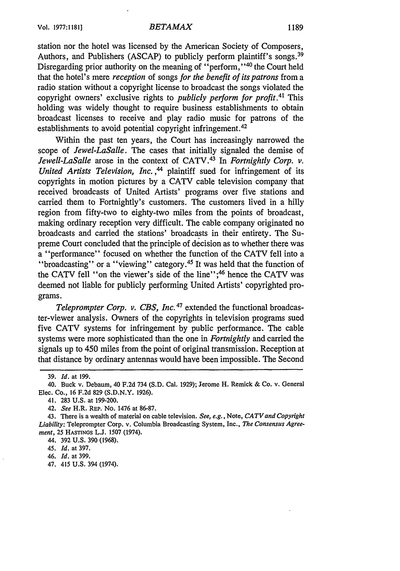station nor the hotel was licensed by the American Society of Composers, Authors, and Publishers (ASCAP) to publicly perform plaintiff's songs.<sup>39</sup> Disregarding prior authority on the meaning of "perform,"<sup>40</sup> the Court held that the hotel's mere *reception* of songs *for the benefit of its patrons* from a radio station without a copyright license to broadcast the songs violated the copyright owners' exclusive rights to *publicly perform for profit.41* This holding was widely thought to require business establishments to obtain broadcast licenses to receive and play radio music for patrons of the establishments to avoid potential copyright infringement.<sup>42</sup>

Within the past ten years, the Court has increasingly narrowed the scope of *Jewel-LaSalle.* The cases that initially signaled the demise of *Jewell-LaSalle* arose in the context of CATV. 43 In *Fortnightly Corp. v. United Artists Television, Inc.,44* plaintiff sued for infringement of its copyrights in motion pictures by a CATV cable television company that received broadcasts of United Artists' programs over five stations and carried them to Fortnightly's customers. The customers lived in a hilly region from fifty-two to eighty-two miles from the points of broadcast, making ordinary reception very difficult. The cable company originated no broadcasts and carried the stations' broadcasts in their entirety. The Supreme Court concluded that the principle of decision as to whether there was a "performance" focused on whether the function of the CATV fell into a "broadcasting" or a "viewing" category.<sup>45</sup> It was held that the function of the CATV fell "on the viewer's side of the line";<sup>46</sup> hence the CATV was deemed not liable for publicly performing United Artists' copyrighted programs.

*Teleprompter Corp. v. CBS, Inc.* 47 extended the functional broadcaster-viewer analysis. Owners of the copyrights in television programs sued five CATV systems for infringement by public performance. The cable systems were more sophisticated than the one in *Fortnightly* and carried the signals up to 450 miles from the point of original transmission. Reception at that distance by ordinary antennas would have been impossible. The Second

46. *Id.* at 399.

47. 415 U.S. 394 (1974).

<sup>39.</sup> *Id.* at 199.

<sup>40.</sup> Buck v. Debaum, 40 F.2d 734 (S.D. Cal. 1929); Jerome H. Remick & Co. v. General Elec. Co., 16 F.2d 829 (S.D.N.Y. 1926).

<sup>41. 283</sup> U.S. at 199-200.

<sup>42.</sup> *See* H.R. REP. No. 1476 at 86-87.

<sup>43.</sup> There is a wealth of material on cable television. *See, e.g.,* Note, *CATVand Copyright Liability:* Teleprompter Corp. v. Columbia Broadcasting System, Inc., *The Consensus Agreement,* 25 HASTINGS L.J. 1507 (1974).

<sup>44. 392</sup> U.S. 390 (1968).

*<sup>45.</sup> Id.* at 397.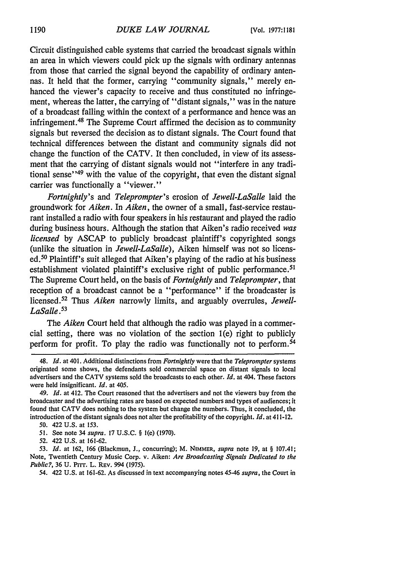Circuit distinguished cable systems that carried the broadcast signals within an area in which viewers could pick up the signals with ordinary antennas from those that carried the signal beyond the capability of ordinary antennas. It held that the former, carrying "community signals," merely enhanced the viewer's capacity to receive and thus constituted no infringement, whereas the latter, the carrying of "distant signals," was in the nature of a broadcast falling within the context of a performance and hence was an infringement.<sup>48</sup> The Supreme Court affirmed the decision as to community signals but reversed the decision as to distant signals. The Court found that technical differences between the distant and community signals did not change the function of the CATV. It then concluded, in view of its assessment that the carrying of distant signals would not "interfere in any traditional sense $149$  with the value of the copyright, that even the distant signal carrier was functionally a "viewer."

*Fortnightly's* and *Teleprompter's* erosion of *Jewell-LaSalle* laid the groundwork for *Aiken.* In *Aiken,* the owner of a small, fast-service restaurant installed a radio with four speakers in his restaurant and played the radio during business hours. Although the station that Aiken's radio received was *licensed* by ASCAP to publicly broadcast plaintiff's copyrighted songs (unlike the situation in *Jewell-LaSalle),* Aiken himself was not so licensed. 50 Plaintiff's suit alleged that Aiken's playing of the radio at his business establishment violated plaintiff's exclusive right of public performance.<sup>51</sup> The Supreme Court held, on the basis of *Fortnightly* and *Teleprompter,* that reception of a broadcast cannot be a "performance" if the broadcaster is licensed.<sup>52</sup> Thus *Aiken* narrowly limits, and arguably overrules, *Jewell-LaSalle .*

The *Aiken* Court held that although the radio was played in a commercial setting, there was no violation of the section 1(e) right to publicly perform for profit. To play the radio was functionally not to perform.<sup>54</sup>

- 51. See note 34 *supra.* 17 U.S.C. § l(e) (1970).
- 52. 422 U.S. at 161-62.

54. 422 U.S. at 161-62. As discussed in text accompanying notes *45-46 supra,* the Court in

<sup>48.</sup> *Id.* at 401. Additional distinctions from *Fortnightly* were that the *Teleprompter* systems originated some shows, the defendants sold commercial space on distant signals to local advertisers and the CATV systems sold the broadcasts to each other. *Id.* at 404. These factors were held insignificant. *Id.* at 405.

<sup>49.</sup> *Id.* at 412. The Court reasoned that the advertisers and not the viewers buy from the broadcaster and the advertising rates are based on expected numbers and types of audiences; it found that CATV does nothing to the system but change the numbers. Thus, it concluded, the introduction of the distant signals does not alter the profitability of the copyright. *Id.* at 411-12.

<sup>50. 422</sup> U.S. at 153.

<sup>53.</sup> *Id.* at 162, 166 (Blackmun, J., concurring); M. NIMMER, *supra* note 19, at § 107.41; Note, Twentieth Century Music Corp. v. Aiken: *Are Broadcasting Signals Dedicated to the Public?,* 36 **U.** Prrr. L. REV. 994 (1975).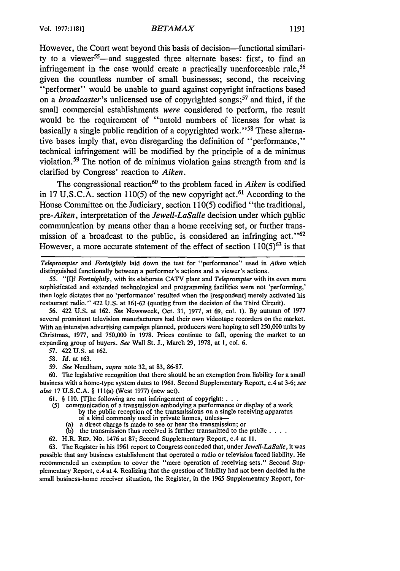However, the Court went beyond this basis of decision—functional similarity to a viewer<sup>55</sup>—and suggested three alternate bases: first, to find an infringement in the case would create a practically unenforceable rule,<sup>56</sup> given the countless number of small businesses; second, the receiving "performer" would be unable to guard against copyright infractions based on a *broadcaster's* unlicensed use of copyrighted songs;57 and third, if the small commercial establishments were considered to perform, the result would be the requirement of "untold numbers of licenses for what is basically a single public rendition of a copyrighted work."<sup>58</sup> These alternative bases imply that, even disregarding the definition of "performance," technical infringement will be modified **by** the principle of a de minimus violation. 59 The notion of de minimus violation gains strength from and is clarified **by** Congress' reaction to *Aiken.*

The congressional reaction<sup>60</sup> to the problem faced in *Aiken* is codified in **17 U.S.C.A.** section **110(5)** of the new copyright act. 61 According to the House Committee on the Judiciary, section **110(5)** codified "the traditional, pre-Aiken, interpretation of the *Jewell-LaSalle* decision under which public communication **by** means other than a home receiving set, or further transmission of a broadcast to the public, is considered an infringing **act.''62** However, a more accurate statement of the effect of section **110(5)63 is** that

*Teleprompter* and *Fortnightly* laid down the test for "performance" used in *Aiken* which distinguished functionally between a performer's actions and a viewer's actions.

55. **"[I]f** *Fortnightly,* with its elaborate CATV plant and *Teleprompter* with its even more sophisticated and extended technological and programming facilities were not 'performing,' then logic dictates that no 'performance' resulted when the [respondent] merely activated his restaurant radio." 422 U.S. at 161-62 (quoting from the decision of the Third Circuit).

56. 422 U.S. at 162. *See* Newsweek, Oct. 31, 1977, at 69, col. 1). By autumn of 1977 several prominent television manufacturers had their own videotape recorders on the market. With an intensive advertising campaign planned, producers were hoping to sell 250,000 units by Christmas, 1977, and 750,000 in 1978. Prices continue to fall, opening the market to an expanding group of buyers. *See* Wall St. **J.,** March 29, 1978, at I, col. 6.

57. 422 U.S. at 162.

58. *Id.* at 163.

*59. See* Needham, *supra* note 32, at 83, 86-87.

60. The legislative recognition that there should be an exemption from liability for a small business with a home-type system dates to 1961. Second Supplementary Report, c.4 at 3-6; *see also* 17 U.S.C.A. § 111(a) (West 1977) (new act).

61. § 110. [T]he following are not infringement of copyright:...

(5) communication of a transmission embodying a performance or display of a work by the public reception of the transmissions on a single receiving apparatus

of a kind commonly used in private homes, unless- (a) a direct charge is made to see or hear the transmission; or

- (b) the transmission thus received is further transmitted to the public . **...**
- 62. H.R. REP. No. 1476 at 87; Second Supplementary Report, c.4 at **11.**

63. The Register in his 1961 report to Congress conceded that, under *Jewell-LaSalle,* it was possible that any business establishment that operated a radio or television faced liability. He recommended an exemption to cover the "mere operation of receiving sets." Second Supplementary Report, c.4 at 4. Realizing that the question of liability had not been decided in the small business-home receiver situation, the Register, in the 1965 Supplementary Report, for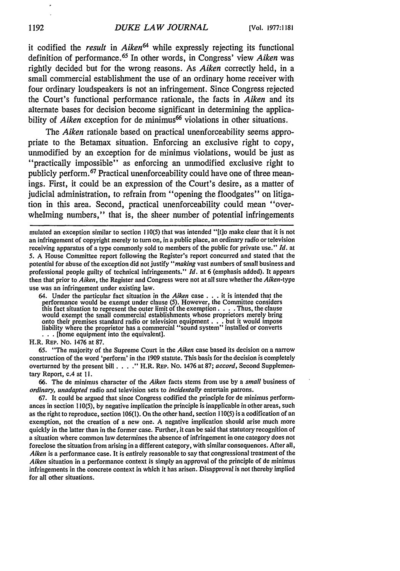it codified the *result* in *Aiken64* while expressly rejecting its functional definition of performance. 65 In other words, in Congress' view *Aiken* was rightly decided but for the wrong reasons. As *Aiken* correctly held, in a small commercial establishment the use of an ordinary home receiver with four ordinary loudspeakers is not an infringement. Since Congress rejected the Court's functional performance rationale, the facts in *Aiken* and its alternate bases for decision become significant in determining the applicability of *Aiken* exception for de minimus<sup>66</sup> violations in other situations.

The *Aiken* rationale based on practical unenforceability seems appropriate to the Betamax situation. Enforcing an exclusive right to copy, unmodified by an exception for de minimus violations, would be just as "practically impossible" as enforcing an unmodified exclusive right to publicly perform. 67 Practical unenforceability could have one of three meanings. First, it could be an expression of the Court's desire, as a matter of judicial administration, to refrain from "opening the floodgates" on litigation in this area. Second, practical unenforceability could mean "overwhelming numbers," that is, the sheer number of potential infringements

mulated an exception similar to section 110(5) that was intended "[tjo make clear that it is not an infringement of copyright merely to turn on, in a public place, an ordinary radio or television receiving apparatus of a type commonly sold to members of the public for private use." *Id.* at 5. A House Committee report following the Register's report concurred and stated that the potential for abuse of the exception did not justify "making vast numbers of small business and professional people guilty of technical infringements." *Id.* at 6 (emphasis added). It appears then that prior to *Aiken,* the Register and Congress were not at all sure whether the *Aiken-type* use was an infringement under existing law.

64. Under the particular fact situation in the *Aiken* case **. . .** it is intended that the performance would be exempt under clause (5). However, the Committee considers this fact situation to represent the outer limit of the exemption. . **.** . Thus, the clause would exempt the small commercial establishments whose proprietors merely bring onto their premises standard radio or television equipment **. . .** but it would impose liability where the proprietor has a commercial "sound system" installed or converts . . . [home equipment into the equivalent]

H.R. REP. No. 1476 at 87.

65. "The majority of the Supreme Court in the *Aiken* case based its decision on a narrow construction of the word 'perform' in the 1909 statute. This basis for the decision is completely overturned by the present bill . . . . " H.R. REP. No. 1476 at 87; *accord*, Second Supplementary Report, c.4 at **11.**

66. The de minimus character of the *Aiken* facts stems from use by a *small* business of *ordinary, unadapted* radio and television sets to *incidentally* entertain patrons.

67. It could be argued that since Congress codified the principle for de minimus performances in section 110(5), by negative implication the principle is inapplicable in other areas, such as the right to reproduce, section 106(1). On the other hand, section 110(5) is a codification of an exemption, not the creation of a new one. A negative implication should arise much more quickly in the latter than in the former case. Further, it can be said that statutory recognition of a situation where common law determines the absence of infringement in one category does not foreclose the situation from arising in a different category, with similar consequences. After all, *Aiken* is a performance case. It is entirely reasonable to say that congressional treatment of the Aiken situation in a performance context is simply an approval of the principle of de minimus infringements in the concrete context in which it has arisen. Disapproval is not thereby implied for all other situations.

þ,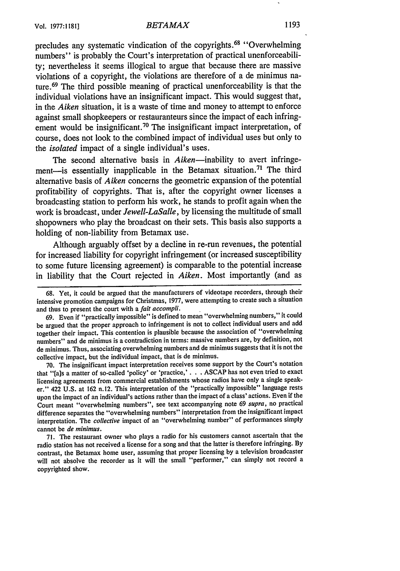### *BETAMAX* **Vol.** 1977:! 181] **1193**

precludes any systematic vindication of the copyrights. **68** "Overwhelming numbers" is probably the Court's interpretation of practical unenforceability; nevertheless it seems illogical to argue that because there are massive violations of a copyright, the violations are therefore of a de minimus nature.69 The third possible meaning of practical unenforceability is that the individual violations have an insignificant impact. This would suggest that, in the *Aiken* situation, it is a waste of time and money to attempt to enforce against small shopkeepers or restauranteurs since the impact of each infringement would be insignificant.<sup>70</sup> The insignificant impact interpretation, of course, does not look to the combined impact of individual uses but only to the *isolated* impact of a single individual's uses.

The second alternative basis in Aiken-inability to avert infringement-is essentially inapplicable in the Betamax situation.<sup>71</sup> The third alternative basis of *Aiken* concerns the geometric expansion of the potential profitability of copyrights. That is, after the copyright owner licenses a broadcasting station to perform his work, he stands to profit again when the work is broadcast, under *Jewell-LaSalle,* by licensing the multitude of small shopowners who play the broadcast on their sets. This basis also supports a holding of non-liability from Betamax use.

Although arguably offset by a decline in re-run revenues, the potential for increased liability for copyright infringement (or increased susceptibility to some future licensing agreement) is comparable to the potential increase in liability that the Court rejected in *Aiken.* Most importantly (and as

69. Even if "practically impossible" is defined to mean "overwhelming numbers," it could be argued that the proper approach to infringement is not to collect individual users and add together their impact. This contention is plausible because the association of "overwhelming numbers" and de minimus is a contradiction in terms: massive numbers are, by definition, not de minimus. Thus, associating overwhelming numbers and de minimus suggests that it is not the collective impact, but the individual impact, that is de minimus.

**70.** The insignificant impact interpretation receives some support by the Court's notation that "[a]s a matter of so-called 'policy' or 'practice,' **. .** . ASCAP has not even tried to exact licensing agreements from commercial establishments whose radios have only a single speaker." 422 U.S. at 162 n.12. This interpretation of the "practically impossible" language rests upon the impact of an individual's actions rather than the impact of a class' actions. Even if the Court meant "overwhelming numbers", see text accompanying note 69 *supra,* no practical difference separates the "overwhelming numbers" interpretation from the insignificant impact interpretation. The *collective* impact of an "overwhelming number" of performances simply cannot be *de minimus.*

71. The restaurant owner who plays a radio for his customers cannot ascertain that the radio station has not received a license for a song and that the latter is therefore infringing. **By** contrast, the Betamax home user, assuming that proper licensing by a television broadcaster will not absolve the recorder as it will the small "performer," can simply not record a copyrighted show.

<sup>68.</sup> Yet, it could be argued that the manufacturers of videotape recorders, through their intensive promotion campaigns for Christmas, 1977, were attempting to create such a situation and thus to present the court with a *fait accompli.*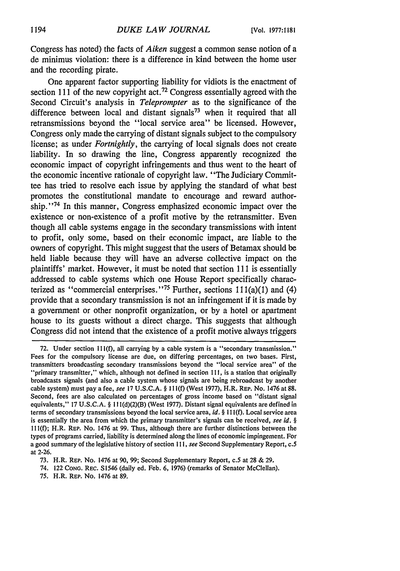Congress has noted) the facts of *Aiken* suggest a common sense notion of a de minimus violation: there is a difference in kind between the home user and the recording pirate.

One apparent factor supporting liability for vidiots is the enactment of section 111 of the new copyright act.<sup>72</sup> Congress essentially agreed with the Second Circuit's analysis in *Teleprompter* as to the significance of the difference between local and distant signals<sup>73</sup> when it required that all retransmissions beyond the "local service area" be licensed. However, Congress only made the carrying of distant signals subject to the compulsory license; as under *Fortnightly,* the carrying of local signals does not create liability. In so drawing the line, Congress apparently recognized the economic impact of copyright infringements and thus went to the heart of the economic incentive rationale of copyright law. "The Judiciary Committee has tried to resolve each issue by applying the standard of what best promotes the constitutional mandate to encourage and reward authorship."<sup>74</sup> In this manner, Congress emphasized economic impact over the existence or non-existence of a profit motive by the retransmitter. Even though all cable systems engage in the secondary transmissions with intent to profit, only some, based on their economic impact, are liable to the owners of copyright. This might suggest that the users of Betamax should be held liable because they will have an adverse collective impact on the plaintiffs' market. However, it must be noted that section **III** is essentially addressed to cable systems which one House Report specifically characterized as "commercial enterprises."<sup>75</sup> Further, sections  $111(a)(1)$  and  $(4)$ provide that a secondary transmission is not an infringement if it is made by a government or other nonprofit organization, or by a hotel or apartment house to its guests without a direct charge. This suggests that although Congress did not intend that the existence of a profit motive always triggers

75. H.R. REP. No. 1476 at 89.

<sup>72.</sup> Under section **111(f),** all carrying by a cable system is a "secondary transmission." Fees for the compulsory license are due, on differing percentages, on two bases. First, transmitters broadcasting secondary transmissions beyond the "local service area" of the "primary transmitter," which, although not defined in section **111,** is a station that originally broadcasts signals (and also a cable system whose signals are being rebroadcast by another cable system) must pay a fee, *see* 17 U.S.C.A. § **I I l(f)** (West 1977), H.R. REp. No. 1476 at **88.** Second, fees are also calculated on percentages of gross income based on "distant signal equivalents," 17 U.S.C.A. § **I** 1 l(d)(2)(B) (West 1977). Distant signal equivalents are defined in terms of secondary transmissions beyond the local service area, *id.* § 111(f). Local service area is essentially the area from which the primary transmitter's signals can be received, *see id. §* 1 **l(f);** H.R. REP. No. 1476 at 99. Thus, although there are further distinctions between the types of programs carried, liability is determined along the lines of economic impingement. For a good summary of the legislative history of section 111, *see* Second Supplementary Report, c.5 at 2-26.

<sup>73.</sup> H.R. REP. No. 1476 at 90, 99; Second Supplementary Report, *c.5* at 28 & **29.**

<sup>74. 122</sup> CONG. REC. S1546 (daily ed. Feb. 6, 1976) (remarks of Senator McClellan).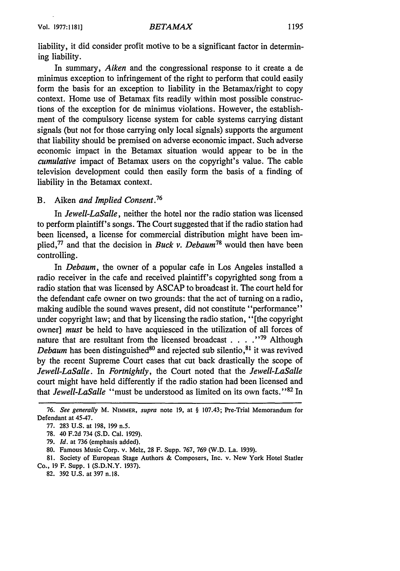liability, it did consider profit motive to be a significant factor in determining liability.

In summary, *Aiken* and the congressional response to it create a de minimus exception to infringement of the right to perform that could easily form the basis for an exception to liability in the Betamax/right to copy context. Home use of Betamax fits readily within most possible constructions of the exception for de minimus violations. However, the establishment of the compulsory license system for cable systems carrying distant signals (but not for those carrying only local signals) supports the argument that liability should be premised on adverse economic impact. Such adverse economic impact in the Betamax situation would appear to be in the *cumulative* impact of Betamax users on the copyright's value. The cable television development could then easily form the basis of a finding of liability in the Betamax context.

### B. Aiken *and Implied Consent.76*

In *Jewell-LaSalle,* neither the hotel nor the radio station was licensed to perform plaintiff's songs. The Court suggested that if the radio station had been licensed, a license for commercial distribution might have been implied,<sup>77</sup> and that the decision in *Buck v. Debaum*<sup>78</sup> would then have been controlling.

In *Debaum,* the owner of a popular cafe in Los Angeles installed a radio receiver in the cafe and received plaintiff's copyrighted song from a radio station that was licensed by ASCAP to broadcast it. The court held for the defendant cafe owner on two grounds: that the act of turning on a radio, making audible the sound waves present, did not constitute "performance" under copyright law; and that by licensing the radio station, "[the copyright owner] *must* be held to have acquiesced in the utilization of all forces of nature that are resultant from the licensed broadcast . . . . "<sup>79</sup> Although *Debaum* has been distinguished $80$  and rejected sub silentio,  $81$  it was revived by the recent Supreme Court cases that cut back drastically the scope of *Jewell-LaSalle.* In *Fortnightly,* the Court noted that the *Jewell-LaSalle* court might have held differently if the radio station had been licensed and that *Jewell-LaSalle* "must be understood as limited on its own facts.' **'82** In

*<sup>76.</sup> See generally* M. NIMMER, *supra* note 19, at § 107.43; Pre-Trial Memorandum for Defendant at 45-47.

<sup>77. 283</sup> U.S. at 198, 199 n.5.

<sup>78. 40</sup> F.2d 734 (S.D. Cal. 1929).

<sup>79.</sup> *Id.* at 736 (emphasis added).

<sup>80.</sup> Famous Music Corp. v. Melz, 28 F. Supp. 767, 769 (W.D. La. 1939).

<sup>81.</sup> Society of European Stage Authors & Composers, Inc. v. New York Hotel Statler Co., 19 F. Supp. **I** (S.D.N.Y. 1937).

<sup>82. 392</sup> U.S. at 397 n.18.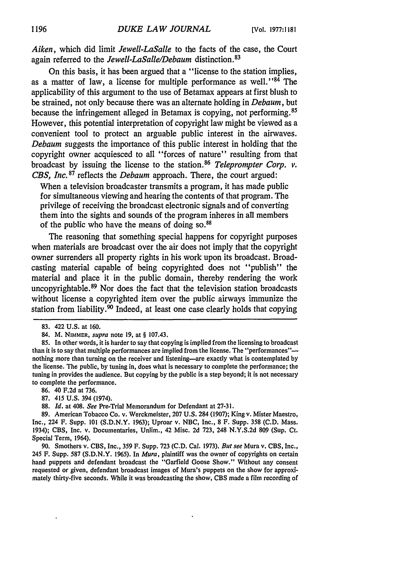*Aiken,* which did limit *Jewell-LaSalle* to the facts of the case, the Court again referred to the *Jewell-LaSalle/Debaum* distinction.<sup>83</sup>

On this basis, it has been argued that a "license to the station implies, as a matter of law, a license for multiple performance as well." $84$  The applicability of this argument to the use of Betamax appears at first blush to be strained, not only because there was an alternate holding in *Debaum,* but because the infringement alleged in Betamax is copying, not performing. <sup>85</sup> However, this potential interpretation of copyright law might be viewed as a convenient tool to protect an arguable public interest in the airwaves. *Debaum* suggests the importance of this public interest in holding that the copyright owner acquiesced to all "forces of nature" resulting from that broadcast by issuing the license to the station.<sup>86</sup> Teleprompter Corp. v. *CBS, Inc.* 87 reflects the *Debaum* approach. There, the court argued:

When a television broadcaster transmits a program, it has made public for simultaneous viewing and hearing the contents of that program. The privilege of receiving the broadcast electronic signals and of converting them into the sights and sounds of the program inheres in all members of the public who have the means of doing **so. <sup>88</sup>**

The reasoning that something special happens for copyright purposes when materials are broadcast over the air does not imply that the copyright owner surrenders all property rights in his work upon its broadcast. Broadcasting material capable of being copyrighted does not "publish" the material and place it in the public domain, thereby rendering the work uncopyrightable.<sup>89</sup> Nor does the fact that the television station broadcasts without license a copyrighted item over the public airways immunize the station from liability.<sup>90</sup> Indeed, at least one case clearly holds that copying

- 86. 40 F.2d at 736.
- 87. 415 U.S. 394 (1974).
- 88. *Id.* at 408. *See* Pre-Trial Memorandum for Defendant at 27-31.

<sup>83. 422</sup> U.S. at 160.

<sup>84.</sup> M. NIMMER, *supra* note **19,** at § 107.43.

<sup>85.</sup> In other words, it is harder to say that copying is implied from the licensing to broadcast than it is to say that multiple performances are implied from the license. The "performances" nothing more than turning on the receiver and listening-are exactly what is contemplated **by** the license. The public, by tuning in, does what is necessary to complete the performance; the tuning in provides the audience. But copying **by** the public is a step beyond; it is not necessary to complete the performance.

<sup>89.</sup> American Tobacco Co. v. Werckmeister, 207 U.S. 284 (1907); King v. Mister Maestro, Inc., 224 F. Supp. 101 (S.D.N.Y. 1963); Uproar v. NBC, Inc., 8 F. Supp. 358 (C.D. Mass. 1934); CBS, Inc. v. Documentaries, Unlim., 42 Misc. 2d 723, 248 N.Y.S.2d 809 (Sup. Ct. Special Term, 1964).

<sup>90.</sup> Smothers v. CBS, Inc., 359 F. Supp. 723 (C.D. Cal. 1973). *But see* Mura v. CBS, Inc., 245 F. Supp. 587 (S.D.N.Y. 1965). In *Mura,* plaintiff was the owner of copyrights on certain hand puppets and defendant broadcast the "Garfield Goose Show." Without any consent requested or given, defendant broadcast images of Mura's puppets on the show for approximately thirty-five seconds. While it was broadcasting the show, CBS made a film recording of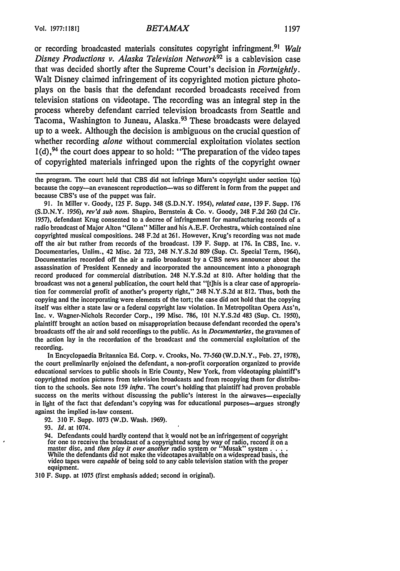or recording broadcasted materials consitutes copyright infringment. <sup>91</sup>*Walt Disney Productions v. Alaska Television Network92* is a cablevision case that was decided shortly after the Supreme Court's decision in *Fortnightly.* Walt Disney claimed infringement of its copyrighted motion picture photoplays on the basis that the defendant recorded broadcasts received from television stations on videotape. The recording was an integral step in the process whereby defendant carried television broadcasts from Seattle and Tacoma, Washington to Juneau, Alaska.<sup>93</sup> These broadcasts were delayed up to a week. Although the decision is ambiguous on the crucial question of whether recording *alone* without commercial exploitation violates section  $1(d)$ ,<sup>94</sup> the court does appear to so hold: "The preparation of the video tapes of copyrighted materials infringed upon the rights of the copyright owner

91. In Miller v. Goody, 125 F. Supp. 348 (S.D.N.Y. 1954), *related case,* 139 F. Supp. 176 (S.D.N.Y. 1956), *rev'd sub nom.* Shapiro, Bernstein & Co. v. Goody, 248 F.2d 260 (2d Cir. 1957), defendant Krug consented to a decree of infringement for manufacturing records of a radio broadcast of Major Alton "Glenn" Miller and his A.E.F. Orchestra, which contained nine copyrighted musical compositions. 248 F.2d at 261. However, Krug's recording was not made off the air but rather from records of the broadcast. 139 F. Supp. at 176. In CBS, Inc. v. Documentaries, Unlim., 42 Misc. 2d 723, 248 N.Y.S.2d 809 (Sup. Ct. Special Term, 1964), Documentaries recorded off the air a radio broadcast by a CBS news announcer about the assassination of President Kennedy and incorporated the announcement into a phonograph record produced for commercial distribution. 248 N.Y.S.2d at 810. After holding that the broadcast was not a general publication, the court held that "[t]his is a clear case of appropriation for commercial profit of another's property right," 248 N.Y.S.2d at 812. Thus, both the copying and the incorporating were elements of the tort; the case did not hold that the copying itself was either a state law or a federal copyright law violation. In Metropolitan Opera Ass'n, Inc. v. Wagner-Nichols Recorder Corp., 199 Misc. 786, **101** N.Y.S.2d 483 (Sup. Ct. 1950), plaintiff brought an action based on misappropriation because defendant recorded the opera's broadcasts off the air and sold recordings to the public. As in *Documentaries,* the gravamen of the action lay in the recordation of the broadcast and the commercial exploitation of the recording.

In Encyclopaedia Britannica Ed. Corp. v. Crooks, No. 77-560 (W.D.N.Y., Feb. 27, 1978), the court preliminarily enjoined the defendant, a non-profit corporation organized to provide educational services to public shools in Erie County, New York, from videotaping plaintiff's copyrighted motion pictures from television broadcasts and from recopying them for distribution to the schools. See note 159 *infra.* The court's holding that plaintiff had proven probable success on the merits without discussing the public's interest in the airwaves—especially in light of the fact that defendant's copying was for educational purposes-argues strongly against the implied in-law consent.

- 92. 310 F. Supp. 1073 (W.D. Wash. 1969).
- 93. **Id.** at 1074.
- 94. Defendants could hardly contend that it would not be an infringement of copyright<br>for one to receive the broadcast of a copyrighted song by way of radio, record it on a<br>master disc, and *then play it over another* rad While the defendants did not make the videotapes available on a widespread basis, the video tapes were *capable* of being sold to any cable television station with the proper equipment.

310 F. Supp. at 1075 (first emphasis added; second in original).

the program. The court held that CBS did not infringe Mura's copyright under section l(a) because the copy--an evanescent reproduction-was so different in form from the puppet and because CBS's use of the puppet was fair.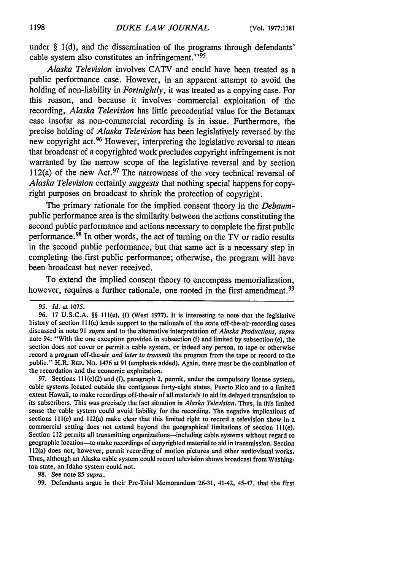under § 1(d), and the dissemination of the programs through defendants' cable system also constitutes an infringement."<sup>95</sup>

*Alaska Television* involves CATV and could have been treated as a public performance case. However, in an apparent attempt to avoid the holding of non-liability in *Fortnightly,* it was treated as a copying case. For this reason, and because it involves commercial exploitation of the recording, *Alaska Television* has little precedential value for the Betamax case insofar as non-commercial recording is in issue. Furthermore, the precise holding of *Alaska Television* has been legislatively reversed by the new copyright act. 96 However, interpreting the legislative reversal to mean that broadcast of a copyrighted work precludes copyright infringement is not warranted by the narrow scope of the legislative reversal and by section 112(a) of the new Act.<sup>97</sup> The narrowness of the very technical reversal of *Alaska Television* certainly *suggests* that nothing special happens for copyright purposes on broadcast to shrink the protection of copyright.

The primary rationale for the implied consent theory in the *Debaum*public performance area is the similarity between the actions constituting the second public performance and actions necessary to complete the first public performance. $98$  In other words, the act of turning on the TV or radio results in the second public performance, but that same act is a necessary step in completing the first public performance; otherwise, the program will have been broadcast but never received.

To extend the implied consent theory to encompass memorialization, however, requires a further rationale, one rooted in the first amendment.<sup>99</sup>

97. Sections **I1** l(e)(2) and (f), paragraph 2, permit, under the compulsory license system, cable systems located outside the contiguous forty-eight states, Puerto Rico and to a limited extent Hawaii, to make recordings off-the-air of all materials to aid its delayed transmission to its subscribers. This was precisely the fact situation in Alaska *Television.* Thus, in this limited sense the cable system could avoid liability for the recording. The negative implications of sections 111(e) and 112(a) make clear that this limited right to record a television show in a commercial setting does not extend beyond the geographical limitations of section 111(e). Section 112 permits all transmitting organizations-including cable systems without regard to geographic location-to make recordings of copyrighted material to aid in transmission. Section 112(a) does not, however, permit recording of motion pictures and other audiovisual works. Thus, although an Alaska cable system could record television shows broadcast from Washington state, an Idaho system could not.

98. See note 85 *supra.*

**99.** Defendants argue in their Pre-Trial Memorandum 26-31, 41-42, 45-47, that the first

<sup>95.</sup> **Id.** at 1075.

**<sup>96.</sup>** 17 **U.S.C.A.** §§ 111(e), **(f)** (West 1977). It is interesting to note that the legislative history of section 111(e) lends support to the rationale of the state off-the-air-recording cases discussed in note 91 supra and to the alternative interpretation of Alaska *Productions,* supra note 94: "With the one exception provided in subsection **(f)** and limited by subsection (e), the section does not cover or permit a cable system, or indeed any person, to tape or otherwise record a program off-the-air and later to transmit the program from the tape or record to the public." H.R. REP. No. 1476 at 91 (emphasis added). Again, there must be the combination of the recordation and the economic exploitation.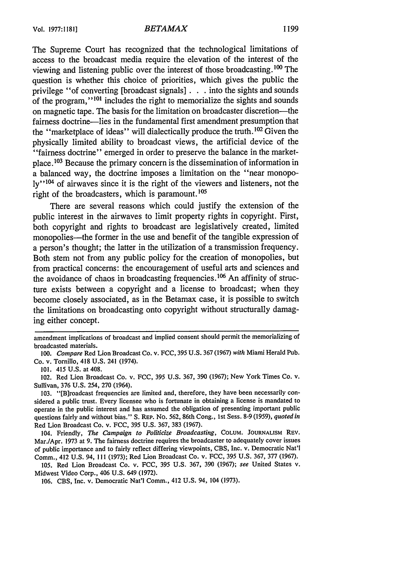The Supreme Court has recognized that the technological limitations of access to the broadcast media require the elevation of the interest of the viewing and listening public over the interest of those broadcasting. **100** The question is whether this choice of priorities, which gives the public the privilege "of converting [broadcast signals] **. . .** into the sights and sounds of the program," $101$  includes the right to memorialize the sights and sounds on magnetic tape. The basis for the limitation on broadcaster discretion-the fairness doctrine—lies in the fundamental first amendment presumption that the "marketplace of ideas" will dialectically produce the truth. **1 <sup>02</sup>**Given the physically limited ability to broadcast views, the artificial device of the "fairness doctrine" emerged in order to preserve the balance in the marketplace. **1 <sup>03</sup>**Because the primary concern is the dissemination of information in a balanced way, the doctrine imposes a limitation on the "near monopoly<sup>1104</sup> of airwaves since it is the right of the viewers and listeners, not the right of the broadcasters, which is paramount.<sup>105</sup>

There are several reasons which could justify the extension of the public interest in the airwaves to limit property rights in copyright. First, both copyright and rights to broadcast are legislatively created, limited monopolies—the former in the use and benefit of the tangible expression of a person's thought; the latter in the utilization of a transmission frequency. Both stem not from any public policy for the creation of monopolies, but from practical concerns: the encouragement of useful arts and sciences and the avoidance of chaos in broadcasting frequencies.<sup>106</sup> An affinity of structure exists between a copyright and a license to broadcast; when they become closely associated, as in the Betamax case, it is possible to switch the limitations on broadcasting onto copyright without structurally damaging either concept.

104. Friendly, *The Campaign to Politicize Broadcasting,* **COLUM.** JOURNALISM REv. Mar./Apr. 1973 at 9. The fairness doctrine requires the broadcaster to adequately cover issues of public importance and to fairly reflect differing viewpoints, CBS, Inc. v. Democratic Nat'l Comm., 412 U.S. 94, 111 (1973); Red Lion Broadcast Co. v. FCC, 395 U.S. 367, 377 (1967).

105. Red Lion Broadcast Co. v. FCC, 395 U.S. 367, 390 (1967); *see* United States v. Midwest Video Corp., 406 U.S. 649 (1972).

106. CBS, Inc. v. Democratic Nat'l Comm., 412 U.S. 94, 104 (1973).

amendment implications of broadcast and implied consent should permit the memorializing of broadcasted materials.

*<sup>100.</sup> Compare* Red Lion Broadcast Co. v. FCC, 395 **U.S.** 367 (1967) *with* Miami Herald Pub. Co. v. Tornillo, 418 U.S. 241 (1974).

<sup>101. 415</sup> U.S. at 408.

<sup>102.</sup> Red Lion Broadcast Co. v. FCC, 395 U.S. 367, 390 (1967); New York Times Co. v. Sullivan, 376 U.S. 254, 270 (1964).

<sup>103. &</sup>quot;[B]roadcast frequencies are limited and, therefore, they have been necessarily considered a public trust. Every licensee who is fortunate in obtaining a license is mandated to operate in the public interest and has assumed the obligation of presenting important public questions fairly and without bias." S. REP. No. 562, 86th Cong., 1st Sess. 8-9 (1959), *quoted in* Red Lion Broadcast Co. v. FCC, 395 U.S. 367, 383 (1967).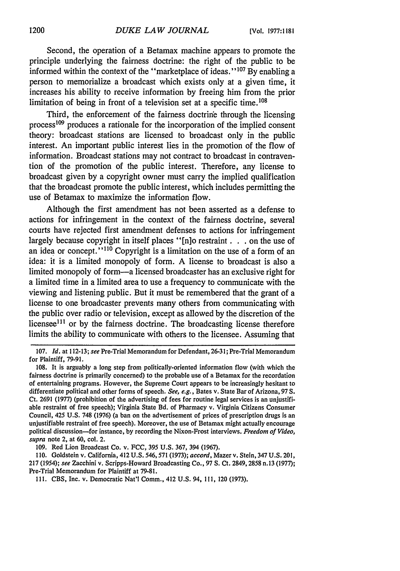Second, the operation of a Betamax machine appears to promote the principle underlying the fairness doctrine: the right of the public to be informed within the context of the "marketplace of ideas."<sup>107</sup> By enabling a person to memorialize a broadcast which exists only at a given time, it increases his ability to receive information by freeing him from the prior limitation of being in front of a television set at a specific time.<sup>108</sup>

Third, the enforcement of the fairness doctrine through the licensing process<sup>109</sup> produces a rationale for the incorporation of the implied consent theory: broadcast stations are licensed to broadcast only in the public interest. An important public interest lies in the promotion of the flow of information. Broadcast stations may not contract to broadcast in contravention of the promotion of the public interest. Therefore, any license to broadcast given by a copyright owner must carry the implied qualification that the broadcast promote the public interest, which includes permitting the use of Betamax to maximize the information flow.

Although the first amendment has not been asserted as a defense to actions for infringement in the context of the fairness doctrine, several courts have rejected first amendment defenses to actions for infringement largely because copyright in itself places "[n]o restraint. **. .** on the use of an idea or concept."<sup>110</sup> Copyright is a limitation on the use of a form of an idea: it is a limited monopoly of form. A license to broadcast is also a limited monopoly of form—a licensed broadcaster has an exclusive right for a limited time in a limited area to use a frequency to communicate with the viewing and listening public. But it must be remembered that the grant of a license to one broadcaster prevents many others from communicating with the public over radio or television, except as allowed by the discretion of the licensee<sup>111</sup> or by the fairness doctrine. The broadcasting license therefore limits the ability to communicate with others to the licensee. Assuming that

**109.** Red Lion Broadcast Co. v. FCC, 395 **U.S.** 367, 394 (1967).

110. Goldstein v. California, 412 U.S. 546,571 (1973); *accord,* Mazer v. Stein, 347 U.S. 201, *217* (1954); *see* Zacchini v. Scripps-Howard Broadcasting Co., 97 S. Ct. 2849, 2858 n.13 (1977); Pre-Trial Memorandum for Plaintiff at 79-81.

**111.** CBS, Inc. v. Democratic Nat'l Comm., 412 U.S. 94, 111, 120 (1973).

<sup>107.</sup> *Id.* at 112-13; see Pre-Trial Memorandum for Defendant, 26-31; Pre-Trial Memorandum for Plaintiff, 79-91.

<sup>108.</sup> It is arguably a long step from politically-oriented information flow (with which the fairness doctrine is primarily concerned) to the probable use of a Betamax for the recordation of entertaining programs. However, the Supreme Court appears to be increasingly hesitant to differentiate political and other forms of speech. *See, e.g.,* Bates v. State Bar of Arizona, 97 **S.** Ct. 2691 (1977) (prohibition of the advertising of fees for routine legal services is an unjustifiable restraint of free speech); Virginia State Bd. of Pharmacy v. Virginia Citizens Consumer Council, *425* **U.S. 748 (1976)** (a ban on the advertisement of prices of prescription drugs is an unjustifiable restraint of free speech). Moreover, the use of Betamax might actually encourage political discussion-for instance, **by** recording the Nixon-Frost interviews. *Freedom of Video, supra* note 2, at **60,** col. 2.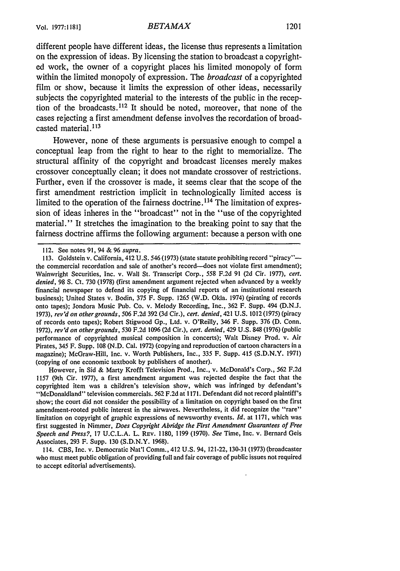### *BETAMAX* 1201

different people have different ideas, the license thus represents a limitation on the expression of ideas. **By** licensing the station to broadcast a copyrighted work, the owner of a copyright places his limited monopoly of form within the limited monopoly of expression. The *broadcast* of a copyrighted film or show, because it limits the expression of other ideas, necessarily subjects the copyrighted material to the interests of the public in the reception of the broadcasts.<sup>112</sup> It should be noted, moreover, that none of the cases rejecting a first amendment defense involves the recordation of broadcasted material.<sup>113</sup>

However, none of these arguments is persuasive enough to compel a conceptual leap from the right to hear to the right to memorialize. The structural affinity of the copyright and broadcast licenses merely makes crossover conceptually clean; it does not mandate crossover of restrictions. Further, even if the crossover is made, it seems clear that the scope of the first amendment restriction implicit in technologically limited access is limited to the operation of the fairness doctrine.<sup>114</sup> The limitation of expression of ideas inheres in the "broadcast" not in the "use of the copyrighted material." It stretches the imagination to the breaking point to say that the fairness doctrine affirms the following argument: because a person with one

However, in Sid & Marty Krofft Television Prod., Inc., v. McDonald's Corp., 562 F.2d 1157 (9th Cir. 1977), a first amendment argument was rejected despite the fact that the copyrighted item was a children's television show, which was infringed by defendant's "McDonaldland" television commercials. 562 F.2d at 1171. Defendant did not record plaintiff's show; the court did not consider the possibility of a limitation on copyright based on the first amendment-rooted public interest in the airwaves. Nevertheless, it did recognize the "rare" limitation on copyright of graphic expressions of newsworthy events. *Id.* at 1171, which was first suggested in Nimmer, *Does Copyright Abridge the First Amendment Guarantees of Free Speech and Press?,* 17 U.C.L.A. L. REV. 1180, 1199 (1970). *See* Time, Inc. v. Bernard Geis Associates, 293 F. Supp. 130 (S.D.N.Y. 1968).

114. CBS, Inc. v. Democratic Nat'l Comm., 412 U.S. 94, 121-22, 130-31 (1973) (broadcaster who must meet public obligation of providing full and fair coverage of public issues not required to accept editorial advertisements).

<sup>112.</sup> See notes 91, 94 & 96 *supra.*

<sup>113.</sup> Goldstein v. California, 412 U.S. 546 (1973) (state statute prohibiting record "piracy" the commercial recordation and sale of another's record--does not violate first amendment); Wainwright Securities, Inc. v. Wall St. Transcript Corp., 558 F.2d 91 (2d Cir. 1977), *cert. denied,* 98 **S.** Ct. 730 (1978) (first amendment argument rejected when advanced by a weekly financial newspaper to defend its copying of financial reports of an institutional research business); United States v. Bodin, 375 F. Supp. 1265 (W.D. Okla. 1974) (pirating of records onto tapes); Jondora Music Pub. Co. v. Melody Recording, Inc., 362 F. Supp. 494 (D.N.J. 1973), *rev'd on other grounds,* 506 F.2d 392 (3d Cir.), *cert. denied,* 421 U.S. 1012 (1975) (piracy of records onto tapes); Robert Stigwood Gp., Ltd. v. O'Reilly, 346 F. Supp. 376 **(D.** Conn. 1972), *rev'd on other grounds,* 530 F.2d 1096 (2d Cir.), *cert. denied,* 429 U.S. 848 (1976) (public performance of copyrighted musical composition in concerts); Walt Disney Prod. v. Air Pirates, 345 F. Supp. 108 (N.D. Cal. 1972) (copying and reproduction of cartoon characters in a magazine); McGraw-Hill, Inc. v. Worth Publishers, Inc., 335 F. Supp. 415 (S.D.N.Y. 1971) (copying of one economic textbook by publishers of another).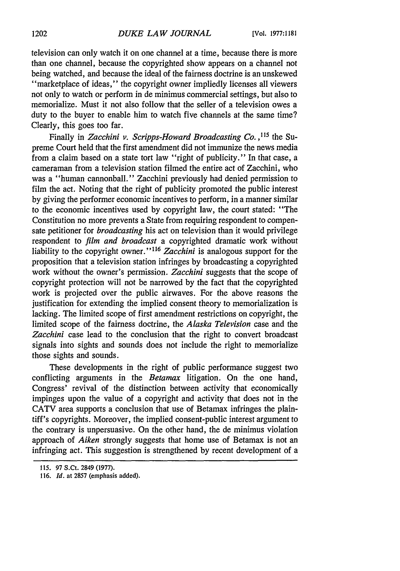television can only watch it on one channel at a time, because there is more than one channel, because the copyrighted show appears on a channel not being watched, and because the ideal of the fairness doctrine is an unskewed "marketplace of ideas," the copyright owner impliedly licenses all viewers not only to watch or perform in de minimus commercial settings, but also to memorialize. Must it not also follow that the seller of a television owes a duty to the buyer to enable him to watch five channels at the same time? Clearly, this goes too far.

Finally in *Zacchini v. Scripps-Howard Broadcasting Co.*,<sup>115</sup> the Supreme Court held that the first amendment did not immunize the news media from a claim based on a state tort law "right of publicity." In that case, a cameraman from a television station filmed the entire act of Zacchini, who was a "human cannonball." Zacchini previously had denied permission to film the act. Noting that the right of publicity promoted the public interest by giving the performer economic incentives to perform, in a manner similar to the economic incentives used by copyright law, the court stated: "The Constitution no more prevents a State from requiring respondent to compensate petitioner for *broadcasting* his act on television than it would privilege respondent to *film and broadcast* a copyrighted dramatic work without liability to the copyright owner."<sup>116</sup> Zacchini is analogous support for the proposition that a television station infringes by broadcasting a copyrighted work without the owner's permission. *Zacchini* suggests that the scope of copyright protection will not be narrowed by the fact that the copyrighted work is projected over the public airwaves. For the above reasons the justification for extending the implied consent theory to memorialization is lacking. The limited scope of first amendment restrictions on copyright, the limited scope of the fairness doctrine, the *Alaska Television* case and the *Zacchini* case lead to the conclusion that the right to convert broadcast signals into sights and sounds does not include the right to memorialize those sights and sounds.

These developments in the right of public performance suggest two conflicting arguments in the *Betamax* litigation. On the one hand, Congress' revival of the distinction between activity that economically impinges upon the value of a copyright and activity that does not in the CATV area supports a conclusion that use of Betamax infringes the plaintiff's copyrights. Moreover, the implied consent-public interest argument to the contrary is unpersuasive. On the other hand, the de minimus violation approach of *Aiken* strongly suggests that home use of Betamax is not an infringing act. This suggestion is strengthened by recent development of a

116. *Id.* at 2857 (emphasis added).

<sup>115. 97</sup> S.Ct. 2849 (1977).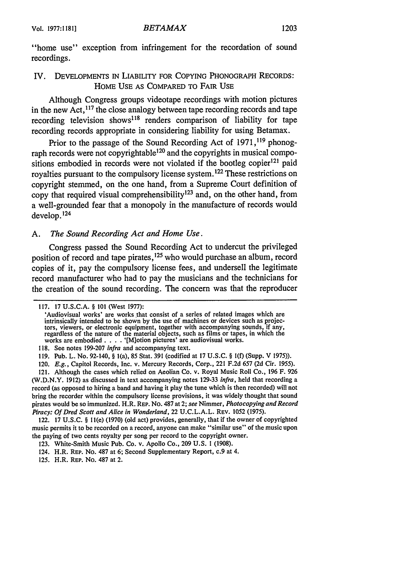"home use" exception from infringement for the recordation of sound recordings.

### IV. DEVELOPMENTS IN LIABILITY FOR COPYING PHONOGRAPH RECORDS: HOME USE AS COMPARED TO FAIR USE

Although Congress groups videotape recordings with motion pictures in the new Act, $117$  the close analogy between tape recording records and tape recording television shows<sup>118</sup> renders comparison of liability for tape recording records appropriate in considering liability for using Betamax.

Prior to the passage of the Sound Recording Act of 1971,<sup>119</sup> phonograph records were not copyrightable<sup>120</sup> and the copyrights in musical compositions embodied in records were not violated if the bootleg copier<sup>121</sup> paid royalties pursuant to the compulsory license system. 122 These restrictions on copyright stemmed, on the one hand, from a Supreme Court definition of copy that required visual comprehensibility 123 and, on the other hand, from a well-grounded fear that a monopoly in the manufacture of records would develop. <sup>124</sup>

### *A. The Sound Recording Act and Home Use.*

Congress passed the Sound Recording Act to undercut the privileged position of record and tape pirates, <sup>125</sup> who would purchase an album, record copies of it, pay the compulsory license fees, and undersell the legitimate record manufacturer who had to pay the musicians and the technicians for the creation of the sound recording. The concern was that the reproducer

<sup>117. 17</sup> **U.S.C.A.** § 101 (West 1977):

<sup>&#</sup>x27;Audiovisual works' are works that consist of a series of related images which are intrinsically intended to be shown by the use of machines or devices such as projectors, viewers, or electronic equipment, together with accompanying sounds, if any, regardless of the nature of the material objects, such as films or tapes, in which the works are embodied . **. .** . '[M]otion pictures' are audiovisual works.

<sup>118.</sup> See notes 199-207 infra and accompanying text.

<sup>119.</sup> Pub. L. No. 92-140, § l(a), 85 Stat. 391 (codified at 17 U.S.C. § l(f) (Supp. V 1975)).

<sup>120.</sup> *E.g.,* Capitol Records, Inc. v. Mercury Records, Corp., 221 F.2d 657 (2d Cir. 1955).

<sup>121.</sup> Although the cases which relied on Aeolian Co. v. Royal Music Roll Co., 196 F. 926 (W.D.N.Y. 1912) as discussed in text accompanying notes 129-33 infra, held that recording a record (as opposed to hiring a band and having it play the tune which is then recorded) will not bring the recorder within the compulsory license provisions, it was widely thought that sound pirates would be so immunized. H.R. REP. No. 487 at 2; see Nimmer, *Photocopying and Record Piracy: Of Dred Scott and Alice in Wonderland,* 22 U.C.L.A.L. REv. 1052 (1975).

<sup>122. 17</sup> U.S.C. § 11(e) (1970) (old act) provides, generally, that if the owner of copyrighted music permits it to be recorded on a record, anyone can make "similar use" of the music upon the paying of two cents royalty per song per record to the copyright owner.

<sup>123.</sup> White-Smith Music Pub. Co. v. Apollo Co., 209 U.S. **1** (1908).

<sup>124.</sup> H.R. REP. No. 487 at 6; Second Supplementary Report, **c.9** at 4.

<sup>125.</sup> H.R. REP. No. 487 at 2.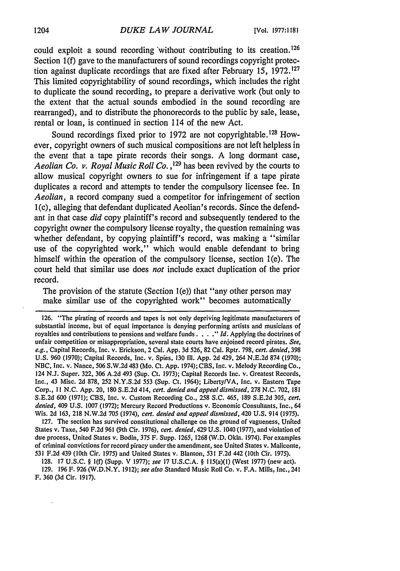could exploit a sound recording 'without contributing to its creation. <sup>126</sup> Section 1(f) gave to the manufacturers of sound recordings copyright protection against duplicate recordings that are fixed after February 15, 1972.127 This limited copyrightability of sound recordings, which includes the right to duplicate the sound recording, to prepare a derivative work (but only to the extent that the actual sounds embodied in the sound recording are rearranged), and to distribute the phonorecords to the public by sale, lease, rental or loan, is continued in section 114 of the new Act.

Sound recordings fixed prior to 1972 are not copyrightable. **128** However, copyright owners of such musical compositions are not left helpless in the event that a tape pirate records their songs. A long dormant case, *Aeolian Co. v. Royal Music Roll Co.* **,129** has been revived by the courts to allow musical copyright owners to sue for infringement if a tape pirate duplicates a record and attempts to tender the compulsory licensee fee. In *Aeolian,* a record company sued a competitor for infringement of section 1(c), alleging that defendant duplicated Aeolian's records. Since the defendant in that case *did* copy plaintiff's record and subsequently tendered to the copyright owner the compulsory license royalty, the question remaining was whether defendant, by copying plaintiff's record, was making a "similar use of the copyrighted work," which would enable defendant to bring himself within the operation of the compulsory license, section l(e). The court held that similar use does *not* include exact duplication of the prior record.

The provision of the statute (Section 1(e)) that "any other person may make similar use of the copyrighted work" becomes automatically

126. "The pirating of records and tapes is not only depriving legitimate manufacturers of substantial income, but of equal importance is denying performing artists and musicians of royalties and contributions to pensions and welfare funds . . . . **I**d. Applying the doctrines of unfair competition or misappropriation, several state courts have enjoined record pirates. See, e.g., Capital Records, Inc. v. Erickson, 2 Cal. App. 3d 526, 82 Cal. Rptr. 798, cert. denied, 398 U.S. 960 (1970); Capital Records, Inc. v. Spies, 130 III. App. 2d 429, 264 N.E.2d 874 (1970); NBC, Inc. v. Nance, 506 S.W.2d 483 (Mo. Ct. App. 1974); CBS, Inc. v. Melody Recording Co., 124 N.J. Super. 322, 306 A.2d 493 (Sup. Ct. 1973); Capital Records Inc. v. Greatest Records, Inc., 43 Misc. 2d 878, 252 N.Y.S.2d 553 (Sup. Ct. 1964); Liberty/VA, Inc. v. Eastern Tape Corp., 11 N.C. App. 20, 180 S.E.2d 414, cert. denied *and appeal dismissed, 278* N.C. 702, 181 S.E.2d 600 (1971); CBS, Inc. v. Custom Recording Co., 258 S.C. 465, 189 S.E.2d 305, cert. *denied,* 409 U.S. 1007 (1972); Mercury Record Productions v. Economic Consultants, Inc,, 64 Wis. 2d 163, 218 N.W.2d 705 (1974), *cert. denied and appeal dismissed,* 420 U.S. 914 (1975).

127. The section has survived constitutional challenge on the ground of vagueness, United States v. Taxe, 540 F.2d 961 (9th Cir. 1976), *cert. denied,* 429 U.S. 1040 (1977), and violation of due process, United States v. Bodin, 375 F. Supp. 1265, 1268 (W.D. Okla. 1974). For examples of criminal convictions for record piracy under the amendment, see United States v. Maliconte, 531 F.2d 439 (10th Cir. 1975) and United States v. Blanton, 531 F.2d 442 (10th Cir. 1975).

**128.** 17 **U.S.C.** § 1(f) (Supp, V **1977);** *see* 17 **U.S.C.A.** § 115(a)(1) (West 1977) (new act). 129. 196 F. 926 (W.D.N.Y. 1912); *see also* Standard Music Roll Co. v. F.A. Mills, Inc., 241 F. 360 (3d Cir. 1917).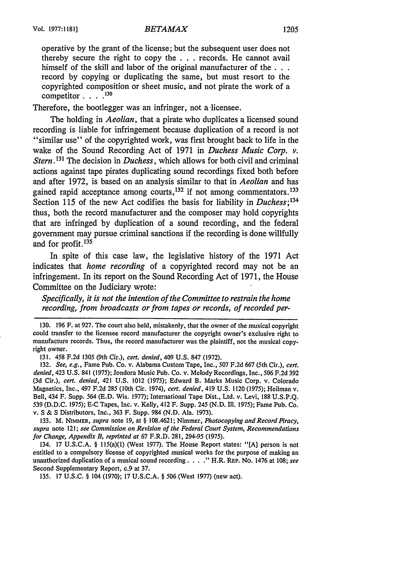operative by the grant of the license; but the subsequent user does not thereby secure the right to copy the . . . records. He cannot avail himself of the skill and labor of the original manufacturer of **the...** record by copying or duplicating the same, but must resort to the copyrighted composition or sheet music, and not pirate the work of a competitor **.... 130**

Therefore, the bootlegger was an infringer, not a licensee.

The holding in *Aeolian,* that a pirate who duplicates a licensed sound recording is liable for infringement because duplication of a record is not "similar use" of the copyrighted work, was first brought back to life in the wake of the Sound Recording Act of 1971 in *Duchess Music Corp. v. Stern. <sup>131</sup>*The decision in *Duchess,* which allows for both civil and criminal actions against tape pirates duplicating sound recordings fixed both before and after 1972, is based on an analysis similar to that in *Aeolian* and has gained rapid acceptance among courts,  $132$  if not among commentators.  $133$ Section 115 of the new Act codifies the basis for liability in *Duchess;134* thus, both the record manufacturer and the composer may hold copyrights that are infringed by duplication of a sound recording, and the federal government may pursue criminal sanctions if the recording is done willfully and for profit.1<sup>35</sup>

In spite of this case law, the legislative history of the 1971 Act indicates that *home recording* of a copyrighted record may not be an infringement. In its report on the Sound Recording Act of 1971, the House Committee on the Judiciary wrote:

*Specifically, it is not the intention of the Committee to restrain the home recording, from broadcasts or from tapes or records, of recorded per-*

130. 196 F. at 927. The court also held, mistakenly, that the owner of the musical copyright could transfer to the licensee record manufacturer the copyright owner's exclusive right to manufacture records. Thus, the record manufacturer was the plaintiff, not the musical copyright owner.

131. 458 F.2d 1305 (9th Cir.), *cert. denied,* 409 U.S. 847 (1972).

132. *See, e.g.,* Fame Pub. Co. v. Alabama Custom Tape, Inc., 507 F.2d 667 (5th Cir.), *cert. denied,* 423 U.S. 841 (1975); Jondora Music Pub. Co. v. Melody Recordings, Inc., 506 F.2d 392 (3d Cir.), *cert. denied,* 421 U.S. 1012 (1975); Edward B. Marks Music Corp. v. Colorado Magnetics, Inc., 497 **F.2d** 285 (10th Cir. 1974), *cert. denied,* 419 U.S. 1120 (1975); Heilman v. Bell, 434 F. Supp. 564 (E.D. Wis. 1977); International Tape Dist., Ltd. v. Levi, 188 U.S.P.Q. 539 (D.D.C. 1975); **E-C** Tapes, Inc. v. Kelly, 412 F. Supp. *245* (N.D. II1. 1975); Fame Pub. Co. v. **S** & S Distributors, Inc., 363 F. Supp. 984 (N.D. Ala. 1973).

133. M. NIMMER, *supra* note 19, at § 108.4621; Nimmer, *Photocopying and Record Piracy, supra* note 121; *see Commission on Revision of the Federal Court System, Recommendations for Change, Appendix B, reprinted at* 67 F.R.D. 281, 294-95 (1975).

134. 17 U.S.C.A. § 115(a)(1) (West 1977). The House Report states: "[A) person is not entitled to a compulsory license of copyrighted musical works for the purpose of making an unauthorized duplication of a musical sound recording. . . . " H.R. REP. No. 1476 at 108; see Second Supplementary Report, c.9 at 37.

135. 17 U.S.C. § 104 (1970); 17 U.S.C.A. § 506 (West 1977) (new act).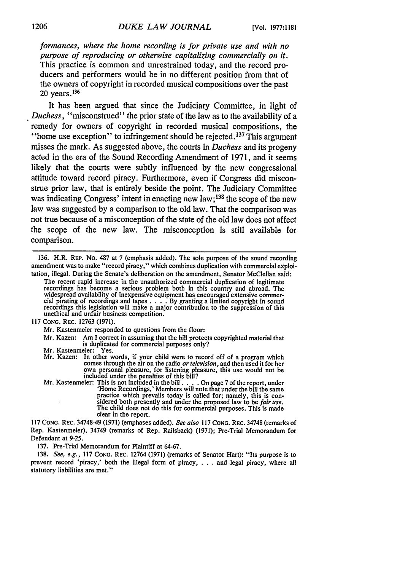*formances, where the home recording is for private use and with no purpose of reproducing or otherwise capitalizing commercially on it.* This practice is common and unrestrained today, and the record producers and performers would be in no different position from that of the owners of copyright in recorded musical compositions over the past  $20 \text{ years.}^{136}$ 

It has been argued that since the Judiciary Committee, in light of *Duchess,* "misconstrued" the prior state of the law as to the availability of a remedy for owners of copyright in recorded musical compositions, the "home use exception" to infringement should be rejected. **137** This argument misses the mark. As suggested above, the courts in *Duchess* and its progeny acted in the era of the Sound Recording Amendment of **1971,** and it seems likely that the courts were subtly influenced **by** the new congressional attitude toward record piracy. Furthermore, even if Congress did misconstrue prior law, that is entirely beside the point. The Judiciary Committee was indicating Congress' intent in enacting new law;<sup>138</sup> the scope of the new law was suggested **by** a comparison to the old law. That the comparison was not true because of a misconception of the state of the old law does not affect the scope of the new law. The misconception is still available for comparison.

Mr. Kastenmeier responded to questions from the floor:

Mr. Kazen: Am **I** correct in assuming that the bill protects copyrighted material that is duplicated for commercial purposes only?

- Mr. Kastenmeier: Yes.<br>Mr. Kazen: In other words, if your child were to record off of a program which<br>comes through the air on the radio *or television*, and then used it for her<br>own personal pleasure, for listening pleasur own personal pleasure, for listening pleasure, this use would not be included under the penalties of this bill?
- Mr. Kastenmeier: This is not included in the bill  $\ldots$ . On page 7 of the report, under<br>
'Home Recordings,' Members will note that under the bill the same<br>
practice which prevails today is called for; namely, this is con-The child does not do this for commercial purposes. This is made clear in the report.

**117 CONG.** REC. 34748-49 **(1971)** (emphases added). *See also* **117 CONG.** REc. 34748 (remarks of Rep. Kastenmeier), 34749 (remarks of Rep. Railsback) **(1971);** Pre-Trial Memorandum for Defendant at **9-25.**

**137.** Pre-Trial Memorandum for Plaintiff at **64-67.**

**138.** *See, e.g.,* **117 CONG. REC.** 12764 **(1971)** (remarks of Senator Hart): **"Its** purpose is to prevent record 'piracy,' both the illegal form of piracy, **. . .** and legal piracy, where all statutory liabilities are met."

**<sup>136.</sup>** H.R. **REP.** No. **487** at **7** (emphasis added). The sole purpose of the sound recording amendment was to make "record piracy," which combines duplication with commercial exploitation, illegal. During the Senate's deliberation on the amendment, Senator McClellan said:

The recent rapid increase in the unauthorized commercial duplication of legitimate recordings has become a serious problem both in this country and abroad. The widespread availability of inexpensive equipment has encouraged extensive commer- cial pirating of recordings and tapes **. . . . By** granting a limited copyright in sound recordings this legislation will make a major contribution to the suppression of this unethical and unfair business competition.

**<sup>117</sup> CONG.** REC. **12763 (1971).**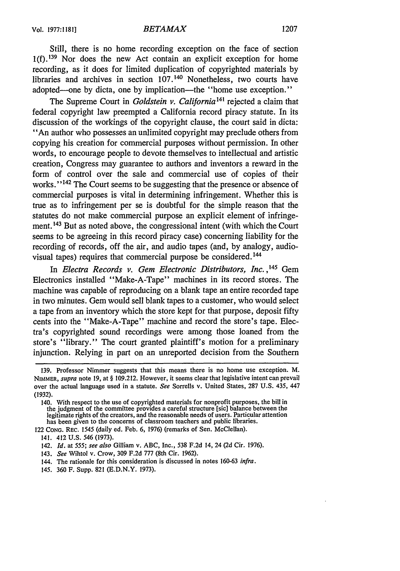Still, there is no home recording exception on the face of section  $1(f)$ . <sup>139</sup> Nor does the new Act contain an explicit exception for home recording, as it does for limited duplication of copyrighted materials by libraries and archives in section 107.<sup>140</sup> Nonetheless, two courts have adopted—one by dicta, one by implication—the "home use exception."

The Supreme Court in *Goldstein v. California 141* rejected a claim that federal copyright law preempted a California record piracy statute. In its discussion of the workings of the copyright clause, the court said in dicta: "An author who possesses an unlimited copyright may preclude others from copying his creation for commercial purposes without permission. In other words, to encourage people to devote themselves to intellectual and artistic creation, Congress may guarantee to authors and inventors a reward in the form of control over the sale and commercial use of copies of their works." **1 <sup>42</sup>**The Court seems to be suggesting that the presence or absence of commercial purposes is vital in determining infringement. Whether this is true as to infringement per se is doubtful for the simple reason that the statutes do not make commercial purpose an explicit element of infringement.<sup>143</sup> But as noted above, the congressional intent (with which the Court seems to be agreeing in this record piracy case) concerning liability for the recording of records, off the air, and audio tapes (and, by analogy, audiovisual tapes) requires that commercial purpose be considered.<sup>144</sup>

In *Electra Records v. Gem Electronic Distributors, Inc.*, <sup>145</sup> Gem Electronics installed "Make-A-Tape" machines in its record stores. The machine was capable of reproducing on a blank tape an entire recorded tape in two minutes. Gem would sell blank tapes to a customer, who would select a tape from an inventory which the store kept for that purpose, deposit fifty cents into the "Make-A-Tape" machine and record the store's tape. Electra's copyrighted sound recordings were among those loaned from the store's "library." The court granted plaintiff's motion for a preliminary injunction. Relying in part on an unreported decision from the Southern

122 CONG. REC. 1545 (daily ed. Feb. 6, 1976) (remarks of Sen. McClellan).

- 141. 412 U.S. 546 (1973).
- 142. *Id.* at *555; see also* Gilliam v. ABC, Inc., 538 F.2d 14, 24 (2d Cir. 1976).
- 143. *See* Wihtol v. Crow, 309 F.2d 777 (8th Cir. 1962).
- 144. The rationale for this consideration is discussed in notes 160-63 *infra.*
- 145. 360 F. Supp. 821 (E.D.N.Y. 1973).

<sup>139.</sup> Professor Nimmer suggests that this means there is no home use exception. M. NIMMER, *supra* note 19, at § 109.212. However, it seems clear that legislative intent can prevail over the actual language used in a statute. *See* Sorrells v. United States, 287 U.S. 435, 447 (1932).

<sup>140.</sup> With respect to the use of copyrighted materials for nonprofit purposes, the bill in the judgment of the committee provides a careful structure [sic] balance between the legitimate rights of the creators, and the reasonable needs of users. Particular attention has been given to the concerns of classroom teachers and public libraries.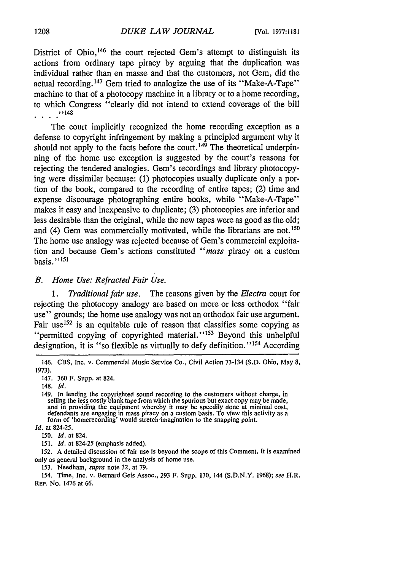District of Ohio,<sup>146</sup> the court rejected Gem's attempt to distinguish its actions from ordinary tape piracy by arguing that the duplication was individual rather than en masse and that the customers, not Gem, did the actual recording.<sup>147</sup> Gem tried to analogize the use of its "Make-A-Tape" machine to that of a photocopy machine in a library or to a home recording, to which Congress "clearly did not intend to extend coverage of the bill ''148

The court implicitly recognized the home recording exception as a defense to copyright infringement by making a principled argument why it should not apply to the facts before the court.<sup>149</sup> The theoretical underpinning of the home use exception is suggested by the court's reasons for rejecting the tendered analogies. Gem's recordings and library photocopying were dissimilar because: (1) photocopies usually duplicate only a portion of the book, compared to the recording of entire tapes; (2) time and expense discourage photographing entire books, while "Make-A-Tape" makes it easy and inexpensive to duplicate; (3) photocopies are inferior and less desirable than the original, while the new tapes were as good as the old; and (4) Gem was commercially motivated, while the librarians are not.<sup>150</sup> The home use analogy was rejected because of Gem's commercial exploitation and because Gem's actions constituted *"mass* piracy on a custom basis." $^{151}$ 

*B. Home Use: Refracted Fair Use.*

*1. Traditional fair use.* The reasons given by the *Electra* court for rejecting the photocopy analogy are based on more or less orthodox "fair use" grounds; the home use analogy was not an orthodox fair use argument. Fair use<sup>152</sup> is an equitable rule of reason that classifies some copying as "permitted copying of copyrighted material."<sup>153</sup> Beyond this unhelpful designation, it is "so flexible as virtually to defy definition."<sup>154</sup> According

147. 360 F. Supp. at 824.

153. Needham, *supra* note 32, at 79.

<sup>146.</sup> CBS, Inc. v. Commercial Music Service Co., Civil Action 73-134 (S.D. Ohio, May 8, 1973).

<sup>148.</sup> *Id.*

<sup>149.</sup> In lending the copyrighted sound recording to the customers without charge, in selling the less costly blank tape from which the spurious but exact copy may be made, and in providing the equipment whereby it may be speedily done at minimal cost, defendants are engaging in mass piracy on a custom basis. To view this activity as a form of 'homerecording' would stretch imagination to the

*Id.* at 824-25.

<sup>150.</sup> *Id.* at 824.

<sup>151.</sup> *Id.* at 824-25 (emphasis added).

<sup>152.</sup> A detailed discussion of fair use is beyond the scope of this Comment. It is examined only as general background in the analysis of home use.

<sup>154.</sup> Time, Inc. v. Bernard Geis Assoc., 293 F. Supp. 130, 144 (SD.N.Y. 1968); *see* H.R. REP. No. 1476 at 66.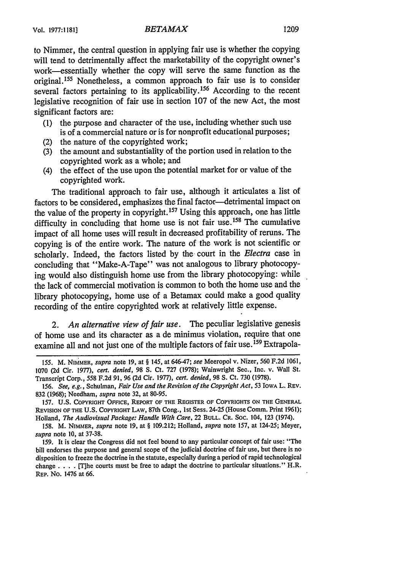### **Vol. 1977:1181]** *BETAMAX* **1209**

to Nimmer, the central question in applying fair use is whether the copying will tend to detrimentally affect the marketability of the copyright owner's work-essentially whether the copy will serve the same function as the original.155 Nonetheless, a common approach to fair use is to consider several factors pertaining to its applicability. 156 According to the recent legislative recognition of fair use in section 107 of the new Act, the most significant factors are:

- **(1)** the purpose and character of the use, including whether such use is of a commercial nature or is for nonprofit educational purposes;
- (2) the nature of the copyrighted work;
- (3) the amount and substantiality of the portion used in relation to the copyrighted work as a whole; and
- (4) the effect of the use upon the potential market for or value of the copyrighted work.

The traditional approach to fair use, although it articulates a list of factors to be considered, emphasizes the final factor-detrimental impact on the value of the property in copyright. **1 <sup>57</sup>**Using this approach, one has little difficulty in concluding that home use is not fair use.158 The cumulative impact of all home uses will result in decreased profitability of reruns. The copying is of the entire work. The nature of the work is not scientific or scholarly. Indeed, the factors listed by the court in the *Electra* case in concluding that "Make-A-Tape" was not analogous to library photocopying would also distinguish home use from the library photocopying: while the lack of commercial motivation is common to both the home use and the library photocopying, home use of a Betamax could make a good quality recording of the entire copyrighted work at relatively little expense.

2. *An alternative view of fair use.* The peculiar legislative genesis of home use and its character as a de minimus violation, require that one examine all and not just one of the multiple factors of fair use.<sup>159</sup> Extrapola-

*<sup>155.</sup>* M. **NIMMER,** *supra* note **19,** at § 145, at 646-47; *see* Meeropol v. Nizer, **560** F.2d **1061,** 1070 (2d Cir. 1977), *cert. denied,* 98 S. Ct. 727 (1978); Wainwright See., Inc. v. Wall St. Transcript Corp., 558 F.2d 91, 96 (2d Cir. 1977), *cert. denied,* 98 S. Ct. 730 (1978).

<sup>156.</sup> *See, e.g.,* Schulman, *Fair Use and the Revision of the Copyright Act,* 53 IowA L. REV. 832 (1968); Needham, *supra* note 32, at 80-95.

<sup>157.</sup> **U.S.** COPYRIGHT **OFFICE,** REPORT OF **THE** REGISTER **OF** COPYRIGHTS **ON THE GENERAL** REVISION OF **THE U.S.** COPYRIGHT LAW, 87th Cong., Ist Sess. 24-25 (House Comm. Print 1961); Holland, *The Audiovisual Package: Handle With Care,* 22 **BULL.** CR. SOC. 104, 123 (1974).

<sup>158.</sup> M. NIMMER, *supra* note 19, at § 109.212; Holland, *supra* note 157, at 124-25; Meyer, *supra* note 10, at 37-38.

<sup>159.</sup> It is clear the Congress did not feel bound to any particular concept of fair use: "The bill endorses the purpose and general scope of the judicial doctrine of fair use, but there is no disposition to freeze the doctrine in the statute, especially during a period of rapid technological change . **. .** . [T]he courts must be free to adapt the doctrine to particular situations." H.R. REP. No. 1476 at 66.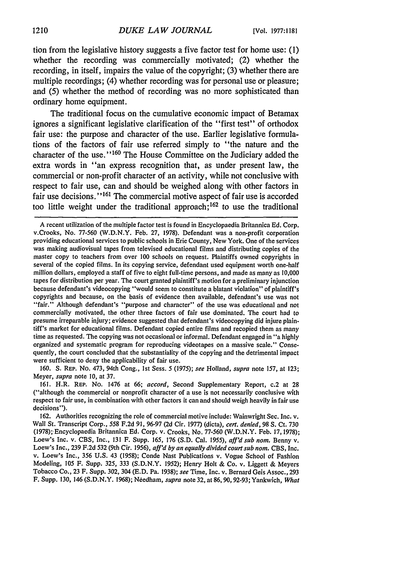tion from the legislative history suggests a five factor test for home use: **(1)** whether the recording was commercially motivated; (2) whether the recording, in itself, impairs the value of the copyright; **(3)** whether there are multiple recordings; (4) whether recording was for personal use or pleasure; and **(5)** whether the method of recording was no more sophisticated than ordinary home equipment.

The traditional focus on the cumulative economic impact of Betamax ignores a significant legislative clarification of the "first test" of orthodox fair use: the purpose and character of the use. Earlier legislative formulations of the factors of fair use referred simply to "the nature and the character of the use."<sup>160</sup> The House Committee on the Judiciary added the extra words in **"an** express recognition that, as under present law, the commercial or non-profit character of an activity, while not conclusive with respect to fair use, can and should be weighed along with other factors in fair use decisions."<sup>161</sup> The commercial motive aspect of fair use is accorded too little weight under the traditional approach;  $162$  to use the traditional

160. S. REP. No. 473, 94th Cong., 1st Sess. 5 *(1975); see* Holland, *supra* note 157, at 123; Meyer, *supra* note **10,** at 37.

161. H.R. REP. No. 1476 at 66; *accord,* Second Supplementary Report, c.2 at 28 ("although the commercial or nonprofit character of a use is not necessarily conclusive with respect to fair use, in combination with other factors it can and should weigh heavily in fair use decisions").

162. Authorities recognizing the role of commercial motive include: Wainwright Sec. Inc. v. Wall St. Transcript Corp., 558 F.2d 91, 96-97 (2d Cir. 1977) (dicta), *cert. denied,* 98 **S.** Ct. 730 (1978); Encyclopaedia Britannica Ed. Corp. v. Crooks, No. 77-560 (W.D.N.Y. Feb. 17, 1978); Loew's Inc. v. CBS, Inc., 131 F. Supp. 165, 176 (S.D. Cal. 1955), *aff'd sub nom.* Benny v. Loew's Inc., 239 F.2d *532* (9th Cir. 1956), *aff'd by an equally divided court sub nom.* CBS, Inc. v. Loew's Inc., 356 U.S. 43 (1958); Conde Nast Publications v. Vogue School of Fashion Modeling, 105 F. Supp. 325, 333 (S.D.N.Y. 1952); Henry Holt & Co. v. Liggett & Meyers Tobacco Co., 23 F. Supp. 302, 304 (E.D. Pa. 1938); *see* Time, Inc. v. Bernard Geis Assoc., 293 F. Supp. 130, 146 (S.D.N.Y. 1968); Needham, *supra* note 32, at 86, 90, 92-93; Yankwich, *What*

A recent utilization of the multiple factor test is found in Encyclopaedia Britannica Ed. Corp. v.Crooks, No. 77-560 (W.D.N.Y. Feb. 27, 1978). Defendant was a non-profit corporation providing educational services to public schools in Erie County, New York. One of the services was making audiovisual tapes from televised educational films and distributing copies of the master copy to teachers from over 100 schools on request. Plaintiffs owned copyrights in several of the copied films. In its copying service, defendant used equipment worth one-half million dollars, employed a staff of five to eight full-time persons, and made as many as 10,000 tapes for distribution per year. The court granted plaintiff's motion for a preliminary injunction because defendant's videocopying "would seem to constitute a blatant violation" of plaintiff's copyrights and because, on the basis of evidence then available, defendant's use was not "fair." Although defendant's "purpose and character" of the use was educational and not commercially motivated, the other three factors of fair use dominated. The court had to presume irreparable injury; evidence suggested that defendant's videocopying did injure plaintiff's market for educational films. Defendant copied entire films and recopied them as many time as requested. The copying was not occasional or informal. Defendant engaged in "a highly organized and systematic program for reproducing videotapes on a massive scale." Consequently, the court concluded that the substantiality of the copying and the detrimental impact were sufficient to deny the applicability of fair use.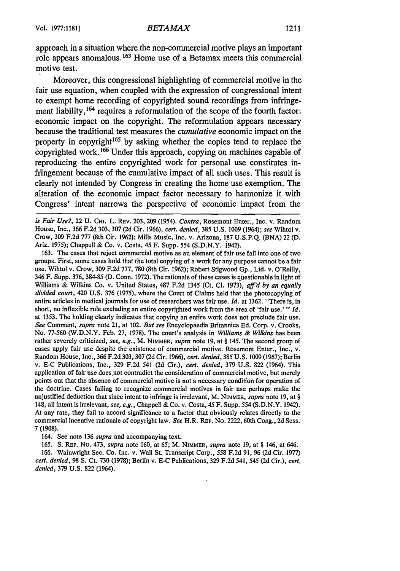1211

approach in a situation where the non-commercial motive plays an important role appears anomalous. 163 Home use of a Betamax meets this commercial motive test.

Moreover, this congressional highlighting of commercial motive in the fair use equation, when coupled with the expression of congressional intent to exempt home recording of copyrighted sound recordings from infringement liability, <sup>164</sup> requires a reformulation of the scope of the fourth factor: economic impact on the copyright. The reformulation appears necessary because the traditional test measures the *cumulative* economic impact on the property in copyright<sup>165</sup> by asking whether the copies tend to replace the copyrighted work. **166** Under this approach, copying on machines capable of reproducing the entire copyrighted work for personal use constitutes infringement because of the cumulative impact of all such uses. This result is clearly not intended **by** Congress in creating the home use exemption. The alteration of the economic impact factor necessary to harmonize it with Congress' intent narrows the perspective of economic impact from the

163. The cases that reject commercial motive as an element of fair use fall into one of two groups. First, some cases hold that the total copying of a work for any purpose cannot be a fair use. Wihtol v. Crow, 309 F.2d 777, 780 (8th Cir. 1962); Robert Stigwood Gp., Ltd. v. O'Reilly, 346 F. Supp. 376, 384-85 **(D.** Conn. 1972). The rationale of these cases is questionable in light of Williams & Wilkins Co. v. United States, 487 F.2d 1345 (Ct. **Cl.** 1973), *aff'd by an equally divided court,* 420 U.S. 376 (1975), where the Court of Claims held that the photocopying of entire articles in medical journals for use of researchers was fair use. *Id.* at 1362. "There is, in short, no inflexible rule excluding an entire copyrighted work from the area of 'fair use.'" *Id.* at 1353. The holding clearly indicates that copying an entire work does not preclude fair use. *See* Comment, *supra* note 21, at 102. *But see* Encyclopaedia Britannica Ed. Corp. v. Crooks, No. 77-560 (W.D.N.Y. Feb. 27, 1978). The court's analysis in *Williams & Wilkins* has been rather severely criticized, *see, e.g.,* M. NIMMER, *supra* note 19, at § 145. The second group of cases apply fair use despite the existence of commercial motive. Rosemont Enter., Inc., v. Random House, Inc., 366 F.2d 303, 307 (2d Cir. 1966), *cert. denied,* 385 U.S. 1009 (1967); Berlin v. E-C Publications, Inc., 329 F.2d 541 (2d Cir.), *cert. denied,* 379 U.S. 822 (1964). This application of fair use does not contradict the consideration of commercial motive, but merely points out that the absence of commercial motive is not a necessary condition for operation of the doctrine. Cases failing to recognize .commercial motives in fair use perhaps make the unjustified deduction that since intent to infringe is irrelevant, M. NIMMER, *supra* note 19, at § 148, all intent is irrelevant, *see, e.g.,* Chappell & Co. v. Costa, 45 F. Supp. 554 (S.D.N.Y. 1942). At any rate, they fail to accord significance to a factor that obviously relates directly to the commercial incentive rationale of copyright law. *See* H.R. REP. No. 2222, 60th Cong., 2d Sess. **7 (1908).**

164. See note 136 *supra* and accompanying text.

165. **S.** REP. No. 473, *supra* note 160, at 65; M. **NIMMER,** *supra* note 19, at § 146, at 646.

166. Wainwright Sec. Co. Inc. v. Wall St. Transcript Corp., 558 F.2d 91, 96 (2d Cir. 1977) *cert. denied,* 98 **S.** Ct. 730 (1978); Berlin v. E-C Publications, 329 F.2d 541, 545 (2d Cir.), *cert. denied,* 379 U.S. 822 (1964).

*is Fair Use?,* 22 U. **CHI.** L. REV. 203, 209 (1954). *Contra,* Rosemont Enter., Inc. v. Random House, Inc., 366 F.2d 303, 307 (2d Cir. 1966), *cert. denied,* 385 U.S. 1009 (1964); *see* Wihtol v. Crow, 309 F.2d 777 (8th Cir. 1962); Mills Music, Inc. v. Arizona, 187 U.S.P.Q. (BNA) 22 (D. Ariz. 1975); Chappell & Co. v. Costa, 45 F. Supp. 554 (S.D.N.Y. 1942).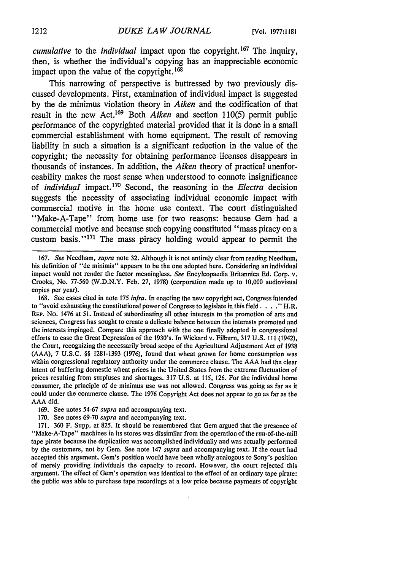*cumulative* to the *individual* impact upon the copyright. 167 The inquiry, then, is whether the individual's copying has an inappreciable economic impact upon the value of the copyright. <sup>168</sup>

This narrowing of perspective is buttressed by two previously discussed developments. First, examination of individual impact is suggested by the de minimus violation theory in *Aiken* and the codification of that result in the new Act.169 Both *Aiken* and section 110(5) permit public performance of the copyrighted material provided that it is done in a small commercial establishment with home equipment. The result of removing liability in such a situation is a significant reduction in the value of the copyright; the necessity for obtaining performance licenses disappears in thousands of instances. In addition, the *Aiken* theory of practical unenforceability makes the most sense when understood to connote insignificance of *individuaI* impact. 170 Second, the reasoning in the *Electra* decision suggests the necessity of associating individual economic impact with commercial motive in the home use context. The court distinguished "Make-A-Tape" from home use for two reasons: because Gem had a commercial motive and because such copying constituted "mass piracy on a custom basis."<sup>171</sup> The mass piracy holding would appear to permit the

170. See notes 69-70 *supra* and accompanying text.

171. 360 F. Supp. at 825. It should be remembered that Gem argued that the presence of "Make-A-Tape" machines in its stores was dissimilar from the operation of the run-of-the-mill tape pirate because the duplication was accomplished individually and was actually performed by the customers, not by Gem. See note 147 *supra* and accompanying text. If the court had accepted this argument, Gem's position would have been wholly analogous to Sony's position of merely providing individuals the capacity to record. However, the court rejected this argument. The effect of Gem's operation was identical to the effect of an ordinary tape pirate: the public was able to purchase tape recordings at a low price because payments of copyright

<sup>167.</sup> *See* Needham, *supra* note 32. Although it is not entirely clear from reading Needham, his definition of "de minimis" appears to be the one adopted here. Considering an individual impact would not render the factor meaningless. *See* Encylcopaedia Britannica Ed. Corp. v. Crooks, No. 77-560 (W.D.N.Y. Feb. 27, 1978) (corporation made up to 10,000 audiovisual copies per year).

<sup>168.</sup> See cases cited in note 175 *infra.* In enacting the new copyright act, Congress intended to "avoid exhausting the constitutional power of Congress to legislate in this field  $\ldots$  . "H.R. **REP.** No. 1476 at 51. Instead of subordinating all other interests to the promotion of arts and sciences, Congress has sought to create a delicate balance between the interests promoted and the interests impinged. Compare this approach with the one finally adopted in congressional efforts to ease the Great Depression of the 1930's. In Wickard v. Filburn, 317 U.S. **111** (1942), the Court, recognizing the necessarily broad scope of the Agricultural Adjustment Act of 1938 (AAA), 7 U.S.C. §§ 1281-1393 (1976), found that wheat grown for home consumption was within congressional regulatory authority under the commerce clause. The AAA had the clear intent of buffering domestic wheat prices in the United States from the extreme fluctuation of prices resulting from surpluses and shortages. 317 U.S. at 115, 126. For the individual home consumer, the principle of de minimus use was not allowed. Congress was going as far as it could under the commerce clause. The 1976 Copyright Act does not appear to go as far as the AAA did.

<sup>169.</sup> See notes 54-67 *supra* and accompanying text.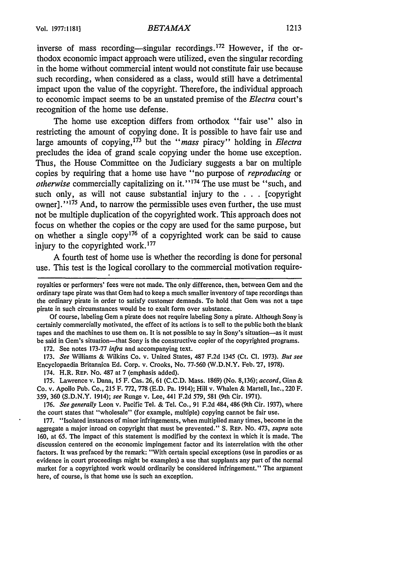### Vol. 1977:1181] *BETAMAX*

inverse of mass recording—singular recordings.<sup>172</sup> However, if the orthodox economic impact approach were utilized, even the singular recording in the home without commercial intent would not constitute fair use because such recording, when considered as a class, would still have a detrimental impact upon the value of the copyright. Therefore, the individual approach to economic impact seems to be an unstated premise of the *Electra* court's recognition of the home use defense.

The home use exception differs from orthodox "fair use" also in restricting the amount of copying done. It is possible to have fair use and large amounts of copying, 173 but the *"mass* piracy" holding in *Electra* precludes the idea of grand scale copying under the home use exception. Thus, the House Committee on the Judiciary suggests a bar on multiple copies by requiring that a home use have "no purpose of *reproducing* or *otherwise* commercially capitalizing on it."<sup>174</sup> The use must be "such, and such only, as will not cause substantial injury to the . . . [copyright owner]."<sup>175</sup> And, to narrow the permissible uses even further, the use must not be multiple duplication of the copyrighted work. This approach does not focus on whether the copies or the copy are used for the same purpose, but on whether a single  $\text{copy}^{176}$  of a copyrighted work can be said to cause injury to the copyrighted work. $177$ 

A fourth test of home use is whether the recording is done for personal use. This test is the logical corollary to the commercial motivation require-

Of course, labeling Gem a pirate does not require labeling Sony a pirate. Although Sony is certainly commercially motivated, the effect of its actions is to sell to the public both the blank tapes and the machines to use them on. It is not possible to say in Sony's situation-as it must be said in Gem's situation—that Sony is the constructive copier of the copyrighted programs.

172. See notes 173-77 *infra* and accompanying text.

173. *See* Williams & Wilkins Co. v. United States, 487 F.2d 1345 (Ct. **Cl.** 1973). *But see* Encyclopaedia Britannica Ed. Corp. v. Crooks, No. 77-560 (W.D.N.Y. Feb. 27, 1978).

174. H.R. REP. No. 487 at 7 (emphasis added).

175. Lawrence v. Dana, 15 F. Cas. 26, 61 (C.C.D. Mass. 1869) (No. 8,136); *accord,* Ginn & Co. v. Apollo Pub. Co., 215 F. 772, 778 (E.D. Pa. 1914); Hill v. Whalen & Martell, Inc., 220 F. 359, 360 (S.D.N.Y. 1914); *see* Runge v. Lee, 441 F.2d 579, 581 (9th Cir. 1971).

176. *See generally* Leon v. Pacific Tel. & Tel. Co., 91 F.2d 484, 486 (9th Cir. 1937), where the court states that "wholesale" (for example, multiple) copying cannot be fair use.

177. "Isolated instances of minor infringements, when multiplied many times, become in the aggregate a major inroad on copyright that must be prevented." S. REP. No. 473, *supra* note 160, at 65. The impact of this statement is modified by the context in which it is made. The discussion centered on the economic impingement factor and its interrelation with the other factors. It was prefaced by the remark: "With certain special exceptions (use in parodies or as evidence in court proceedings might be examples) a use that supplants any part of the normal market for a copyrighted work would ordinarily be considered infringement." The argument here, of course, is that home use is such an exception.

royalties or performers' fees were not made. The only difference, then, between Gem and the ordinary tape pirate was that Gem had to keep a much smaller inventory of tape recordings than the ordinary pirate in order to satisfy customer demands. To hold that Gem was not a tape pirate in such circumstances would be to exalt form over substance.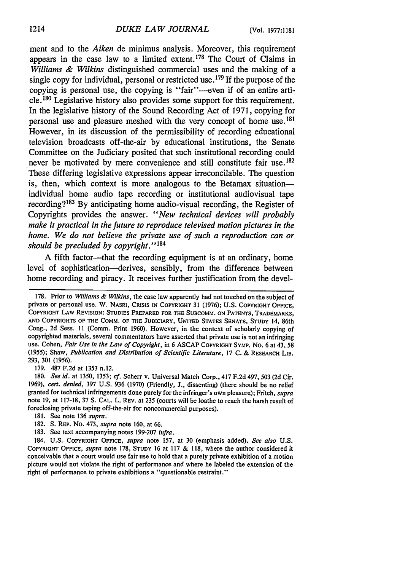ment and to the *Aiken* de minimus analysis. Moreover, this requirement appears in the case law to a limited extent. 178 The Court of Claims in *Williams & Wilkins* distinguished commercial uses and the making of a single copy for individual, personal or restricted use. **179** If the purpose of the copying is personal use, the copying is "fair"--even if of an entire article. 180 Legislative history also provides some support for this requirement. In the legislative history of the Sound Recording Act of 1971, copying for personal use and pleasure meshed with the very concept of home use. <sup>181</sup> However, in its discussion of the permissibility of recording educational television broadcasts off-the-air by educational institutions, the Senate Committee on the Judiciary posited that such institutional recording could never be motivated by mere convenience and still constitute fair use.<sup>182</sup> These differing legislative expressions appear irreconcilable. The question is, then, which context is more analogous to the Betamax situation individual home audio tape recording or institutional audiovisual tape recording? 183 By anticipating home audio-visual recording, the Register of Copyrights provides the answer. *"New technical devices will probably make it practical in the future to reproduce televised motion pictures in the home. We do not believe the private use of such a reproduction can or should be precluded by copyright." 1<sup>84</sup>*

A fifth factor---that the recording equipment is at an ordinary, home level of sophistication-derives, sensibly, from the difference between home recording and piracy. It receives further justification from the devel-

179. 487 F.2d at 1353 n.12.

- 181. See note 136 *supra.*
- 182. **S.** REP. No. 473, *supra* note 160, at 66.
- 183. See text accompanying notes 199-207 *infra.*

184. U.S. COPYRIGHT OFFICE, *supra* note 157, at 30 (emphasis added). *See also* **U.S.** COPYRIGHT **OFFICE,** *supra* note 178, **STUDY 16** at 117 & **118,** where the author considered it conceivable that a court would use fair use to hold that a purely private exhibition of a motion picture would not violate the right of performance and where he labeled the extension of the right of performance to private exhibitions a "questionable restraint."

<sup>178.</sup> Prior to *Williams & Wilkins,* the case law apparently had not touched on the subject of private or personal use. W. **NASRI,** CRISIS IN COPYRIGHT **31 (1976); U.S.** COPYRIGHT **OFFICE,** COPYRIGHT LAW REVISION: **STUDIES** PREPARED FOR THE SUBCOMM. **ON** PATENTS, TRADEMARKS, **AND** COPYRIGHTS OF THE COMM. OF THE **JUDICIARY, UNITED STATES SENATE, STUDY** 14, 86th Cong., **2d** Sess. **II** (Comm. Print 1960). However, in the context of scholarly copying of copyrighted materials, several commentators have asserted that private use is not an infringing use. Cohen, *Fair Use in the Law of Copyright,* in **6 ASCAP** COPYRIGHT SYMP. No. **6** at 43, **<sup>58</sup>** (1955); Shaw, *Publication and Distribution of Scientific Literature,* **17 C.** & RESEARCH LIB. 293, 301 (1956).

<sup>180.</sup> *See id.* at 1350, 1353; *cf.* Scherr v. Universal Match Corp., 417 F.2d 497, 503 (2d Cir. 1969), *cert. denied,* 397 U.S. 936 (1970) (Friendly, **J.,** dissenting) (there should be no relief granted for technical infringements done purely for the infringer's own pleasure); Fritch, *supra* note 19, at 117-18, 37 **S. CAL.** L. REV. at 235 (courts will be loathe to reach the harsh result of foreclosing private taping off-the-air for noncommercial purposes).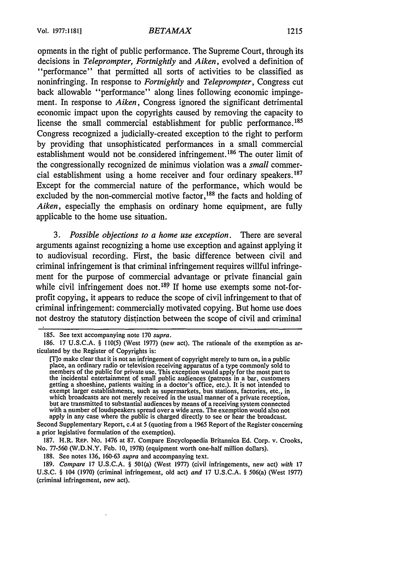opments in the right of public performance. The Supreme Court, through its decisions in *Teleprompter, Fortnightly* and *Aiken,* evolved a definition of "performance" that permitted all sorts of activities to be classified as noninfringing. In response to *Fortnightly and Teleprompter,* Congress cut back allowable "performance" along lines following economic impingement. In response to *Aiken,* Congress ignored the significant detrimental economic impact upon the copyrights caused by removing the capacity to license the small commercial establishment for public performance.<sup>185</sup> Congress recognized a judicially-created exception to the right to perform by providing that unsophisticated performances in a small commercial establishment would not be considered infringement.<sup>186</sup> The outer limit of the congressionally recognized de minimus violation was a *small* commercial establishment using a home receiver and four ordinary speakers.<sup>187</sup> Except for the commercial nature of the performance, which would be excluded by the non-commercial motive factor,  $188$  the facts and holding of *Aiken,* especially the emphasis on ordinary home equipment, are fully applicable to the home use situation.

*3. Possible objections to a home use exception.* There are several arguments against recognizing a home use exception and against applying it to audiovisual recording. First, the basic difference between civil and criminal infringement is that criminal infringement requires willful infringement for the purpose of commercial advantage or private financial gain while civil infringement does not.<sup>189</sup> If home use exempts some not-forprofit copying, it appears to reduce the scope of civil infringement to that of criminal infringement: commercially motivated copying. But home use does not destroy the statutory distinction between the scope of civil and criminal

Second Supplementary Report, c.4 at 5 (quoting from a 1965 Report of the Register concerning a prior legislative formulation of the exemption).

187. H.R. REP. No. 1476 at 87. Compare Encyclopaedia Britannica Ed. Corp. v. Crooks, No. 77-560 (W.D.N.Y. Feb. 10, 1978) (equipment worth one-half million dollars).

188. See notes 136, 160-63 *supra* and accompanying text.

189. *Compare* 17 U.S.C.A. § 501(a) (West 1977) (civil infringements, new act) *with* **17** U.S.C. § 104 (1970) (criminal infringement, old act) *and* 17 U.S.C.A. § 506(a) (West 1977) (criminal infringement, new act).

<sup>185.</sup> See text accompanying note 170 *supra.*

<sup>186. 17</sup> U.S.C.A. § 110(5) (West 1977) (new act). The rationale of the exemption as articulated by the Register of Copyrights is:

<sup>[</sup>T]o make clear that it is not an infringement of copyright merely to turn on, in a public place, an ordinary radio or television receiving apparatus of a type commonly sold to members of the public for private use. This exception would apply for the most part to the incidental entertainment of small public audiences (patrons in a bar, customers getting a shoeshine, patients waiting in a doctor's office, etc.). It is not intended to exempt larger establishments, such as supermarkets, bus stations, factories, etc., in which broadcasts are not merely received in the usual manner of a private reception, but are transmitted to substantial audiences by means of a receiving system connected with a number of loudspeakers spread over a wide area. The exemption would also not apply in any case where the public is charged directly to see or hear the broadcast.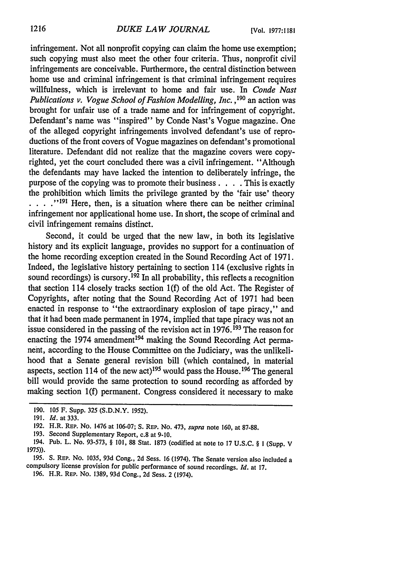infringement. Not all nonprofit copying can claim the home use exemption; such copying must also meet the other four criteria. Thus, nonprofit civil infringements are conceivable. Furthermore, the central distinction between home use and criminal infringement is that criminal infringement requires willfulness, which is irrelevant to home and fair use. In *Conde Nast Publications v. Vogue School of Fashion Modelling, Inc.* **,190** an action was brought for unfair use of a trade name and for infringement of copyright. Defendant's name was "inspired" by Conde Nast's Vogue magazine. One of the alleged copyright infringements involved defendant's use of reproductions of the front covers of Vogue magazines on defendant's promotional literature. Defendant did not realize that the magazine covers were copyrighted, yet the court concluded there was a civil infringement. "Although the defendants may have lacked the intention to deliberately infringe, the purpose of the copying was to promote their business. . **.** .This is exactly the prohibition which limits the privilege granted by the 'fair use' theory **.... "191** Here, then, is a situation where there can be neither criminal infringement nor applicational home use. In short, the scope of criminal and civil infringement remains distinct.

Second, it could be urged that the new law, in both its legislative history and its explicit language, provides no support for a continuation of the home recording exception created in the Sound Recording Act of 1971. Indeed, the legislative history pertaining to section 114 (exclusive rights in sound recordings) is cursory.<sup>192</sup> In all probability, this reflects a recognition that section 114 closely tracks section 1(f) of the old Act. The Register of Copyrights, after noting that the Sound Recording Act of 1971 had been enacted in response to "the extraordinary explosion of tape piracy," and that it had been made permanent in 1974, implied that tape piracy was not an issue considered in the passing of the revision act in  $1976$ .<sup>193</sup> The reason for enacting the 1974 amendment<sup>194</sup> making the Sound Recording Act permaneht, according to the House Committee on the Judiciary, was the unlikelihood that a Senate general revision bill (which contained, in material aspects, section 114 of the new act)<sup>195</sup> would pass the House.<sup>196</sup> The general bill would provide the same protection to sound recording as afforded by making section **l(f)** permanent. Congress considered it necessary to make

<sup>190.</sup> **105** F. Supp. **325** (S.D.N.Y. **1952).**

<sup>191.</sup> **Id.** at 333.

<sup>192.</sup> H.R. REP. No. 1476 at 106-07; S. REP. No. 473, *supra* note 160, at 87-88.

<sup>193.</sup> Second Supplementary Report, c.8 at 9-10.

<sup>194.</sup> Pub. L. No. 93-573, § 101, **88** Stat. 1873 (codified at note to 17 U.S.C. § I (Supp. V **1975)).**

<sup>195.</sup> **S.** REP. No. **1035,** 93d Cong., 2d Sess. 16 (1974). The Senate version also included a compulsory license provision for public performance of sound recordings. *Id.* at 17.

<sup>196.</sup> H.R. REP. No. 1389, 93d Cong., 2d Sess. 2 (1974).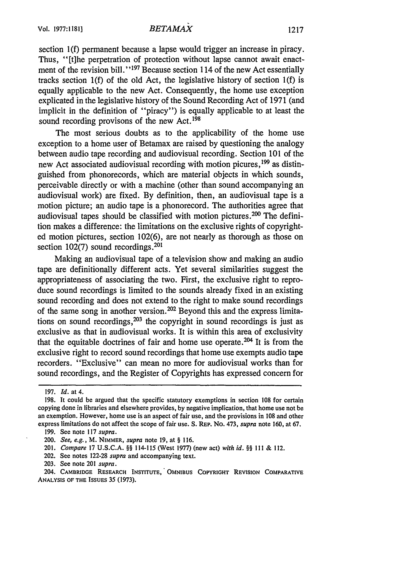### *BETAMAX*

section l(f) permanent because a lapse would trigger an increase in piracy. Thus, "[t]he perpetration of protection without lapse cannot await enactment of the revision bill."<sup>197</sup> Because section 114 of the new Act essentially tracks section l(f) of the old Act, the legislative history of section l(f) is equally applicable to the new Act. Consequently, the home use exception explicated in the legislative history of the Sound Recording Act of 1971 (and implicit in the definition of "piracy") is equally applicable to at least the sound recording provisons of the new Act.<sup>198</sup>

The most serious doubts as to the applicability of the home use exception to a home user of Betamax are raised by questioning the analogy between audio tape recording and audiovisual recording. Section 101 of the new Act associated audiovisual recording with motion picures, 199 as distinguished from phonorecords, which are material objects in which sounds, perceivable directly or with a machine (other than sound accompanying an audiovisual work) are fixed. By definition, then, an audiovisual tape is a motion picture; an audio tape is a phonorecord. The authorities agree that audiovisual tapes should be classified with motion pictures. 200 The definition makes a difference: the limitations on the exclusive rights of copyrighted motion pictures, section 102(6), are not nearly as thorough as those on section  $102(7)$  sound recordings.<sup>201</sup>

Making an audiovisual tape of a television show and making an audio tape are definitionally different acts. Yet several similarities suggest the appropriateness of associating the two. First, the exclusive right to reproduce sound recordings is limited to the sounds already fixed in an existing sound recording and does not extend to the right to make sound recordings of the same song in another version.<sup>202</sup> Beyond this and the express limitations on sound recordings, $203$  the copyright in sound recordings is just as exclusive as that in audiovisual works. It is within this area of exclusivity that the equitable doctrines of fair and home use operate.<sup>204</sup> It is from the exclusive right to record sound recordings that home use exempts audio tape recorders. "Exclusive" can mean no more for audiovisual works than for sound recordings, and the Register of Copyrights has expressed concern for

<sup>197.</sup> Id. at 4.

<sup>198.</sup> It could be argued that the specific statutory exemptions in section 108 for certain copying done in libraries and elsewhere provides, by negative implication, that home use not be an exemption. However, home use is an aspect of fair use, and the provisions in 108 and other express limitations do not affect the scope of fair use. **S. REP.** No. 473, *supra* note **160,** at 67.

<sup>199.</sup> See note 117 *supra.*

<sup>200.</sup> *See, e.g.,* M. NIMMER, *supra* note 19, at § **116.**

<sup>201.</sup> *Compare* 17 U.S.C.A. §§ 114-115 (West 1977) (new act) *with id. §§* **111** & 112.

<sup>202.</sup> See notes 122-28 *supra* and accompanying text.

<sup>203.</sup> See note 201 *supra.*

<sup>204.</sup> CAMBRIDGE **RESEARCH INSTITUTE, OMNIBUS COPYRIGHT** REVISION **COMPARATIVE ANALYSIS** OF **THE** ISSUES 35 (1973).